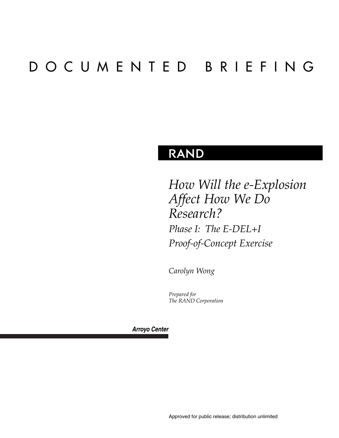# DOCUMENTED BRIEFING

### **RAND**

*How Will the e-Explosion Affect How We Do Research? Phase I: The E-DEL+I Proof-of-Concept Exercise*

*Carolyn Wong*

*Prepared for The RAND Corporation*

*Arroyo Center*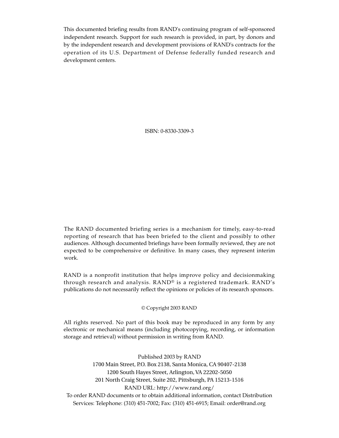This documented briefing results from RAND's continuing program of self-sponsored independent research. Support for such research is provided, in part, by donors and by the independent research and development provisions of RAND's contracts for the operation of its U.S. Department of Defense federally funded research and development centers.

ISBN: 0-8330-3309-3

The RAND documented briefing series is a mechanism for timely, easy-to-read reporting of research that has been briefed to the client and possibly to other audiences. Although documented briefings have been formally reviewed, they are not expected to be comprehensive or definitive. In many cases, they represent interim work.

RAND is a nonprofit institution that helps improve policy and decisionmaking through research and analysis. RAND® is a registered trademark. RAND's publications do not necessarily reflect the opinions or policies of its research sponsors.

#### © Copyright 2003 RAND

All rights reserved. No part of this book may be reproduced in any form by any electronic or mechanical means (including photocopying, recording, or information storage and retrieval) without permission in writing from RAND.

Published 2003 by RAND 1700 Main Street, P.O. Box 2138, Santa Monica, CA 90407-2138 1200 South Hayes Street, Arlington, VA 22202-5050 201 North Craig Street, Suite 202, Pittsburgh, PA 15213-1516 RAND URL: http://www.rand.org/ To order RAND documents or to obtain additional information, contact Distribution Services: Telephone: (310) 451-7002; Fax: (310) 451-6915; Email: order@rand.org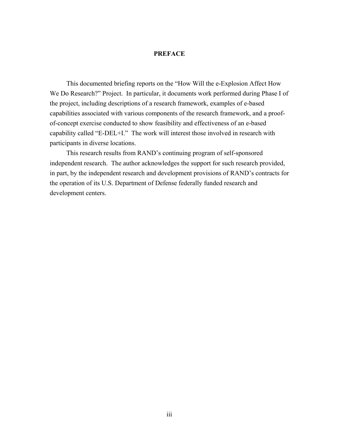#### **PREFACE**

This documented briefing reports on the "How Will the e-Explosion Affect How We Do Research?" Project. In particular, it documents work performed during Phase I of the project, including descriptions of a research framework, examples of e-based capabilities associated with various components of the research framework, and a proofof-concept exercise conducted to show feasibility and effectiveness of an e-based capability called "E-DEL+I." The work will interest those involved in research with participants in diverse locations.

This research results from RAND's continuing program of self-sponsored independent research. The author acknowledges the support for such research provided, in part, by the independent research and development provisions of RAND's contracts for the operation of its U.S. Department of Defense federally funded research and development centers.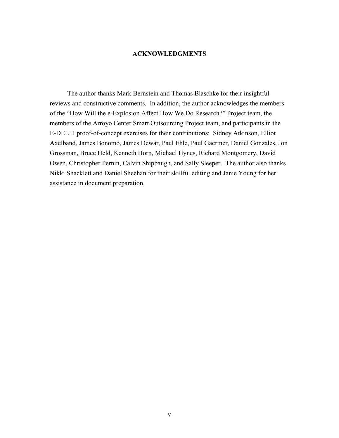#### **ACKNOWLEDGMENTS**

The author thanks Mark Bernstein and Thomas Blaschke for their insightful reviews and constructive comments. In addition, the author acknowledges the members of the "How Will the e-Explosion Affect How We Do Research?" Project team, the members of the Arroyo Center Smart Outsourcing Project team, and participants in the E-DEL+I proof-of-concept exercises for their contributions: Sidney Atkinson, Elliot Axelband, James Bonomo, James Dewar, Paul Ehle, Paul Gaertner, Daniel Gonzales, Jon Grossman, Bruce Held, Kenneth Horn, Michael Hynes, Richard Montgomery, David Owen, Christopher Pernin, Calvin Shipbaugh, and Sally Sleeper. The author also thanks Nikki Shacklett and Daniel Sheehan for their skillful editing and Janie Young for her assistance in document preparation.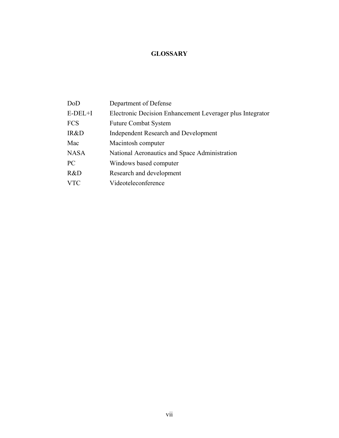### **GLOSSARY**

| DoD         | Department of Defense                                     |
|-------------|-----------------------------------------------------------|
| $E-DEL+I$   | Electronic Decision Enhancement Leverager plus Integrator |
| <b>FCS</b>  | <b>Future Combat System</b>                               |
| IR&D        | <b>Independent Research and Development</b>               |
| Mac         | Macintosh computer                                        |
| <b>NASA</b> | National Aeronautics and Space Administration             |
| PC          | Windows based computer                                    |
| R&D         | Research and development                                  |
| <b>VTC</b>  | Videoteleconference                                       |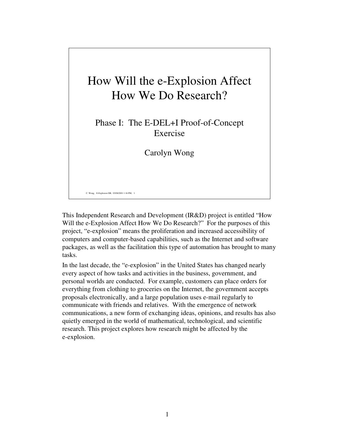# How Will the e-Explosion Affect How We Do Research?

Phase I: The E-DEL+I Proof-of-Concept Exercise

Carolyn Wong

C. Wong, E-Explosion DB, 03/08/2001 1:16 PM, 1

This Independent Research and Development (IR&D) project is entitled "How Will the e-Explosion Affect How We Do Research?" For the purposes of this project, "e-explosion" means the proliferation and increased accessibility of computers and computer-based capabilities, such as the Internet and software packages, as well as the facilitation this type of automation has brought to many tasks.

In the last decade, the "e-explosion" in the United States has changed nearly every aspect of how tasks and activities in the business, government, and personal worlds are conducted. For example, customers can place orders for everything from clothing to groceries on the Internet, the government accepts proposals electronically, and a large population uses e-mail regularly to communicate with friends and relatives. With the emergence of network communications, a new form of exchanging ideas, opinions, and results has also quietly emerged in the world of mathematical, technological, and scientific research. This project explores how research might be affected by the e-explosion.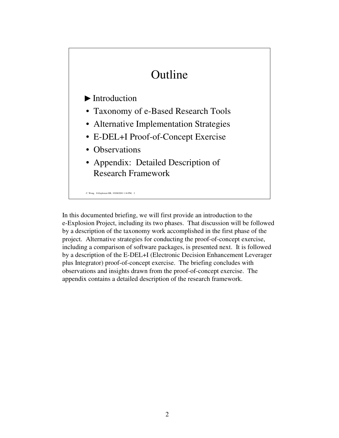# Outline

### $\blacktriangleright$  Introduction

- Taxonomy of e-Based Research Tools
- Alternative Implementation Strategies
- E-DEL+I Proof-of-Concept Exercise
- Observations
- Appendix: Detailed Description of Research Framework

C. Wong, E-Explosion DB, 03/08/2001 1:16 PM, 2

In this documented briefing, we will first provide an introduction to the e-Explosion Project, including its two phases. That discussion will be followed by a description of the taxonomy work accomplished in the first phase of the project. Alternative strategies for conducting the proof-of-concept exercise, including a comparison of software packages, is presented next. It is followed by a description of the E-DEL+I (Electronic Decision Enhancement Leverager plus Integrator) proof-of-concept exercise. The briefing concludes with observations and insights drawn from the proof-of-concept exercise. The appendix contains a detailed description of the research framework.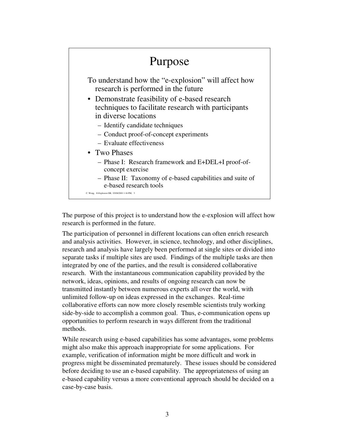### C. Wong, E-Explosion DB, 03/08/2001 1:16 PM, 3 Purpose To understand how the "e-explosion" will affect how research is performed in the future • Demonstrate feasibility of e-based research techniques to facilitate research with participants in diverse locations – Identify candidate techniques – Conduct proof-of-concept experiments – Evaluate effectiveness • Two Phases – Phase I: Research framework and E+DEL+I proof-ofconcept exercise – Phase II: Taxonomy of e-based capabilities and suite of e-based research tools

The purpose of this project is to understand how the e-explosion will affect how research is performed in the future.

The participation of personnel in different locations can often enrich research and analysis activities. However, in science, technology, and other disciplines, research and analysis have largely been performed at single sites or divided into separate tasks if multiple sites are used. Findings of the multiple tasks are then integrated by one of the parties, and the result is considered collaborative research. With the instantaneous communication capability provided by the network, ideas, opinions, and results of ongoing research can now be transmitted instantly between numerous experts all over the world, with unlimited follow-up on ideas expressed in the exchanges. Real-time collaborative efforts can now more closely resemble scientists truly working side-by-side to accomplish a common goal. Thus, e-communication opens up opportunities to perform research in ways different from the traditional methods.

While research using e-based capabilities has some advantages, some problems might also make this approach inappropriate for some applications. For example, verification of information might be more difficult and work in progress might be disseminated prematurely. These issues should be considered before deciding to use an e-based capability. The appropriateness of using an e-based capability versus a more conventional approach should be decided on a case-by-case basis.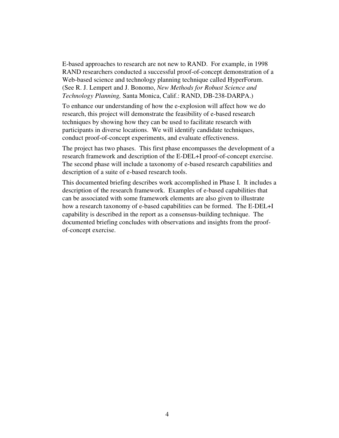E-based approaches to research are not new to RAND. For example, in 1998 RAND researchers conducted a successful proof-of-concept demonstration of a Web-based science and technology planning technique called HyperForum. (See R. J. Lempert and J. Bonomo, *New Methods for Robust Science and Technology Planning,* Santa Monica, Calif.: RAND, DB-238-DARPA.)

To enhance our understanding of how the e-explosion will affect how we do research, this project will demonstrate the feasibility of e-based research techniques by showing how they can be used to facilitate research with participants in diverse locations. We will identify candidate techniques, conduct proof-of-concept experiments, and evaluate effectiveness.

The project has two phases. This first phase encompasses the development of a research framework and description of the E-DEL+I proof-of-concept exercise. The second phase will include a taxonomy of e-based research capabilities and description of a suite of e-based research tools.

This documented briefing describes work accomplished in Phase I. It includes a description of the research framework. Examples of e-based capabilities that can be associated with some framework elements are also given to illustrate how a research taxonomy of e-based capabilities can be formed. The E-DEL+I capability is described in the report as a consensus-building technique. The documented briefing concludes with observations and insights from the proofof-concept exercise.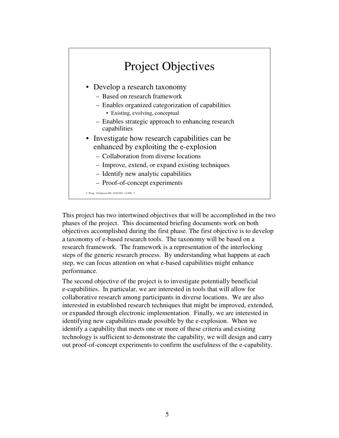

This project has two intertwined objectives that will be accomplished in the two phases of the project. This documented briefing documents work on both objectives accomplished during the first phase. The first objective is to develop a taxonomy of e-based research tools. The taxonomy will be based on a research framework. The framework is a representation of the interlocking steps of the generic research process. By understanding what happens at each step, we can focus attention on what e-based capabilities might enhance performance.

The second objective of the project is to investigate potentially beneficial e-capabilities. In particular, we are interested in tools that will allow for collaborative research among participants in diverse locations. We are also interested in established research techniques that might be improved, extended, or expanded through electronic implementation. Finally, we are interested in identifying new capabilities made possible by the e-explosion. When we identify a capability that meets one or more of these criteria and existing technology is sufficient to demonstrate the capability, we will design and carry out proof-of-concept experiments to confirm the usefulness of the e-capability.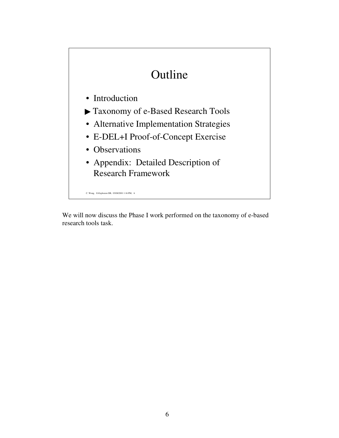# Outline

- Introduction
- Taxonomy of e-Based Research Tools
- Alternative Implementation Strategies
- E-DEL+I Proof-of-Concept Exercise
- Observations
- Appendix: Detailed Description of Research Framework

C. Wong, E-Explosion DB, 03/08/2001 1:16 PM, 6

We will now discuss the Phase I work performed on the taxonomy of e-based research tools task.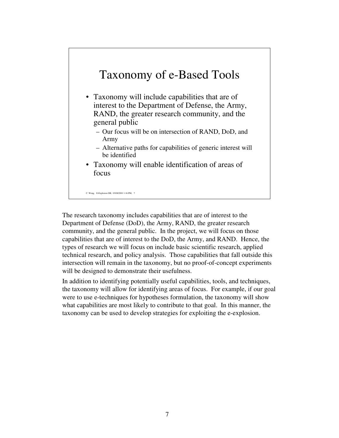### Taxonomy of e-Based Tools

- Taxonomy will include capabilities that are of interest to the Department of Defense, the Army, RAND, the greater research community, and the general public
	- Our focus will be on intersection of RAND, DoD, and Army
	- Alternative paths for capabilities of generic interest will be identified
- Taxonomy will enable identification of areas of focus

C. Wong, E-Explosion DB, 03/08/2001 1:16 PM, 7

The research taxonomy includes capabilities that are of interest to the Department of Defense (DoD), the Army, RAND, the greater research community, and the general public. In the project, we will focus on those capabilities that are of interest to the DoD, the Army, and RAND. Hence, the types of research we will focus on include basic scientific research, applied technical research, and policy analysis. Those capabilities that fall outside this intersection will remain in the taxonomy, but no proof-of-concept experiments will be designed to demonstrate their usefulness.

In addition to identifying potentially useful capabilities, tools, and techniques, the taxonomy will allow for identifying areas of focus. For example, if our goal were to use e-techniques for hypotheses formulation, the taxonomy will show what capabilities are most likely to contribute to that goal. In this manner, the taxonomy can be used to develop strategies for exploiting the e-explosion.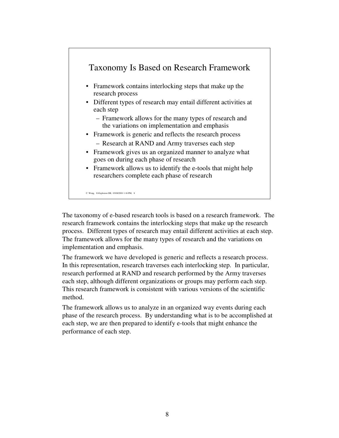

The taxonomy of e-based research tools is based on a research framework. The research framework contains the interlocking steps that make up the research process. Different types of research may entail different activities at each step. The framework allows for the many types of research and the variations on implementation and emphasis.

The framework we have developed is generic and reflects a research process. In this representation, research traverses each interlocking step. In particular, research performed at RAND and research performed by the Army traverses each step, although different organizations or groups may perform each step. This research framework is consistent with various versions of the scientific method.

The framework allows us to analyze in an organized way events during each phase of the research process. By understanding what is to be accomplished at each step, we are then prepared to identify e-tools that might enhance the performance of each step.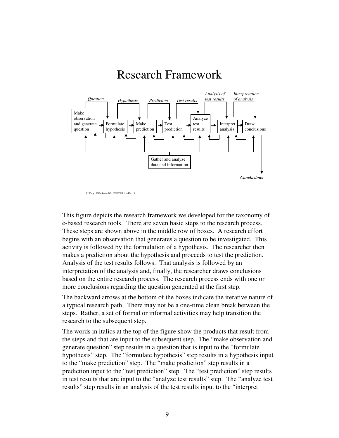

This figure depicts the research framework we developed for the taxonomy of e-based research tools. There are seven basic steps to the research process. These steps are shown above in the middle row of boxes. A research effort begins with an observation that generates a question to be investigated. This activity is followed by the formulation of a hypothesis. The researcher then makes a prediction about the hypothesis and proceeds to test the prediction. Analysis of the test results follows. That analysis is followed by an interpretation of the analysis and, finally, the researcher draws conclusions based on the entire research process. The research process ends with one or more conclusions regarding the question generated at the first step.

The backward arrows at the bottom of the boxes indicate the iterative nature of a typical research path. There may not be a one-time clean break between the steps. Rather, a set of formal or informal activities may help transition the research to the subsequent step.

The words in italics at the top of the figure show the products that result from the steps and that are input to the subsequent step. The "make observation and generate question" step results in a question that is input to the "formulate hypothesis" step. The "formulate hypothesis" step results in a hypothesis input to the "make prediction" step. The "make prediction" step results in a prediction input to the "test prediction" step. The "test prediction" step results in test results that are input to the "analyze test results" step. The "analyze test results" step results in an analysis of the test results input to the "interpret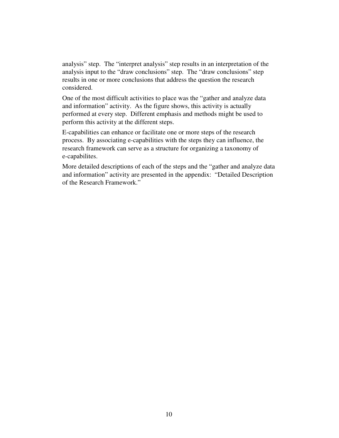analysis" step. The "interpret analysis" step results in an interpretation of the analysis input to the "draw conclusions" step. The "draw conclusions" step results in one or more conclusions that address the question the research considered.

One of the most difficult activities to place was the "gather and analyze data and information" activity. As the figure shows, this activity is actually performed at every step. Different emphasis and methods might be used to perform this activity at the different steps.

E-capabilities can enhance or facilitate one or more steps of the research process. By associating e-capabilities with the steps they can influence, the research framework can serve as a structure for organizing a taxonomy of e-capabilites.

More detailed descriptions of each of the steps and the "gather and analyze data and information" activity are presented in the appendix: "Detailed Description of the Research Framework."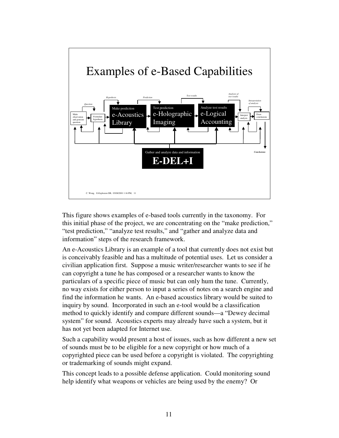

This figure shows examples of e-based tools currently in the taxonomy. For this initial phase of the project, we are concentrating on the "make prediction," "test prediction," "analyze test results," and "gather and analyze data and information" steps of the research framework.

An e-Acoustics Library is an example of a tool that currently does not exist but is conceivably feasible and has a multitude of potential uses. Let us consider a civilian application first. Suppose a music writer/researcher wants to see if he can copyright a tune he has composed or a researcher wants to know the particulars of a specific piece of music but can only hum the tune. Currently, no way exists for either person to input a series of notes on a search engine and find the information he wants. An e-based acoustics library would be suited to inquiry by sound. Incorporated in such an e-tool would be a classification method to quickly identify and compare different sounds—a "Dewey decimal system" for sound. Acoustics experts may already have such a system, but it has not yet been adapted for Internet use.

Such a capability would present a host of issues, such as how different a new set of sounds must be to be eligible for a new copyright or how much of a copyrighted piece can be used before a copyright is violated. The copyrighting or trademarking of sounds might expand.

This concept leads to a possible defense application. Could monitoring sound help identify what weapons or vehicles are being used by the enemy? Or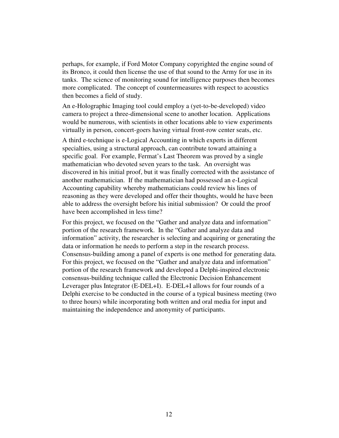perhaps, for example, if Ford Motor Company copyrighted the engine sound of its Bronco, it could then license the use of that sound to the Army for use in its tanks. The science of monitoring sound for intelligence purposes then becomes more complicated. The concept of countermeasures with respect to acoustics then becomes a field of study.

An e-Holographic Imaging tool could employ a (yet-to-be-developed) video camera to project a three-dimensional scene to another location. Applications would be numerous, with scientists in other locations able to view experiments virtually in person, concert-goers having virtual front-row center seats, etc.

A third e-technique is e-Logical Accounting in which experts in different specialties, using a structural approach, can contribute toward attaining a specific goal. For example, Fermat's Last Theorem was proved by a single mathematician who devoted seven years to the task. An oversight was discovered in his initial proof, but it was finally corrected with the assistance of another mathematician. If the mathematician had possessed an e-Logical Accounting capability whereby mathematicians could review his lines of reasoning as they were developed and offer their thoughts, would he have been able to address the oversight before his initial submission? Or could the proof have been accomplished in less time?

For this project, we focused on the "Gather and analyze data and information" portion of the research framework. In the "Gather and analyze data and information" activity, the researcher is selecting and acquiring or generating the data or information he needs to perform a step in the research process. Consensus-building among a panel of experts is one method for generating data. For this project, we focused on the "Gather and analyze data and information" portion of the research framework and developed a Delphi-inspired electronic consensus-building technique called the Electronic Decision Enhancement Leverager plus Integrator (E-DEL+I). E-DEL+I allows for four rounds of a Delphi exercise to be conducted in the course of a typical business meeting (two to three hours) while incorporating both written and oral media for input and maintaining the independence and anonymity of participants.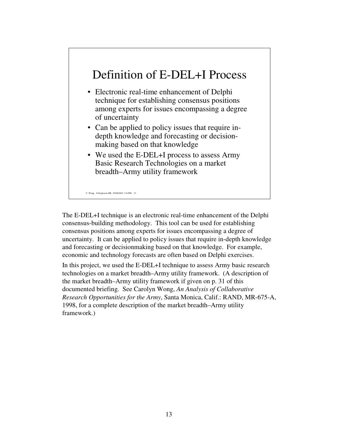## Definition of E-DEL+I Process

- Electronic real-time enhancement of Delphi technique for establishing consensus positions among experts for issues encompassing a degree of uncertainty
- Can be applied to policy issues that require indepth knowledge and forecasting or decisionmaking based on that knowledge
- We used the E-DEL+I process to assess Army Basic Research Technologies on a market breadth–Army utility framework

C. Wong, E-Explosion DB, 03/08/2001 1:16 PM, 13

The E-DEL+I technique is an electronic real-time enhancement of the Delphi consensus-building methodology. This tool can be used for establishing consensus positions among experts for issues encompassing a degree of uncertainty. It can be applied to policy issues that require in-depth knowledge and forecasting or decisionmaking based on that knowledge. For example, economic and technology forecasts are often based on Delphi exercises.

In this project, we used the E-DEL+I technique to assess Army basic research technologies on a market breadth–Army utility framework. (A description of the market breadth–Army utility framework if given on p. 31 of this documented briefing. See Carolyn Wong, *An Analysis of Collaborative Research Opportunities for the Army*, Santa Monica, Calif.: RAND, MR-675-A, 1998, for a complete description of the market breadth–Army utility framework.)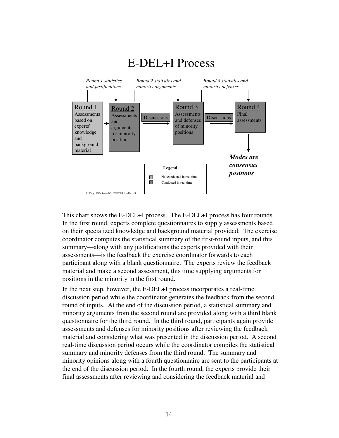

This chart shows the E-DEL+I process. The E-DEL+I process has four rounds. In the first round, experts complete questionnaires to supply assessments based on their specialized knowledge and background material provided. The exercise coordinator computes the statistical summary of the first-round inputs, and this summary—along with any justifications the experts provided with their assessments—is the feedback the exercise coordinator forwards to each participant along with a blank questionnaire. The experts review the feedback material and make a second assessment, this time supplying arguments for positions in the minority in the first round.

In the next step, however, the E-DEL+I process incorporates a real-time discussion period while the coordinator generates the feedback from the second round of inputs. At the end of the discussion period, a statistical summary and minority arguments from the second round are provided along with a third blank questionnaire for the third round. In the third round, participants again provide assessments and defenses for minority positions after reviewing the feedback material and considering what was presented in the discussion period. A second real-time discussion period occurs while the coordinator compiles the statistical summary and minority defenses from the third round. The summary and minority opinions along with a fourth questionnaire are sent to the participants at the end of the discussion period. In the fourth round, the experts provide their final assessments after reviewing and considering the feedback material and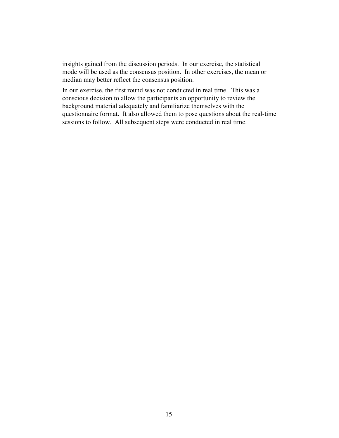insights gained from the discussion periods. In our exercise, the statistical mode will be used as the consensus position. In other exercises, the mean or median may better reflect the consensus position.

In our exercise, the first round was not conducted in real time. This was a conscious decision to allow the participants an opportunity to review the background material adequately and familiarize themselves with the questionnaire format. It also allowed them to pose questions about the real-time sessions to follow. All subsequent steps were conducted in real time.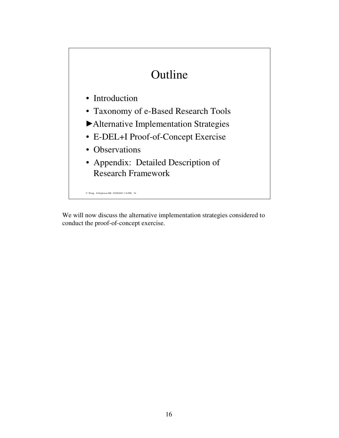# Outline

- Introduction
- Taxonomy of e-Based Research Tools
- Alternative Implementation Strategies
- E-DEL+I Proof-of-Concept Exercise
- Observations
- Appendix: Detailed Description of Research Framework

C. Wong, E-Explosion DB, 03/08/2001 1:16 PM, 16

We will now discuss the alternative implementation strategies considered to conduct the proof-of-concept exercise.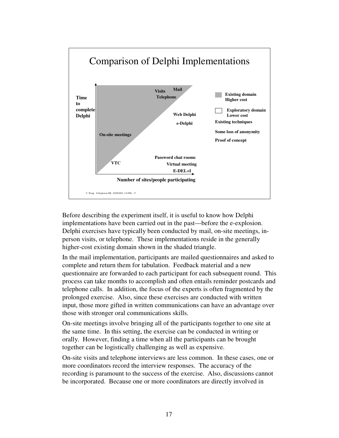

Before describing the experiment itself, it is useful to know how Delphi implementations have been carried out in the past—before the e-explosion. Delphi exercises have typically been conducted by mail, on-site meetings, inperson visits, or telephone. These implementations reside in the generally higher-cost existing domain shown in the shaded triangle.

In the mail implementation, participants are mailed questionnaires and asked to complete and return them for tabulation. Feedback material and a new questionnaire are forwarded to each participant for each subsequent round. This process can take months to accomplish and often entails reminder postcards and telephone calls. In addition, the focus of the experts is often fragmented by the prolonged exercise. Also, since these exercises are conducted with written input, those more gifted in written communications can have an advantage over those with stronger oral communications skills.

On-site meetings involve bringing all of the participants together to one site at the same time. In this setting, the exercise can be conducted in writing or orally. However, finding a time when all the participants can be brought together can be logistically challenging as well as expensive.

On-site visits and telephone interviews are less common. In these cases, one or more coordinators record the interview responses. The accuracy of the recording is paramount to the success of the exercise. Also, discussions cannot be incorporated. Because one or more coordinators are directly involved in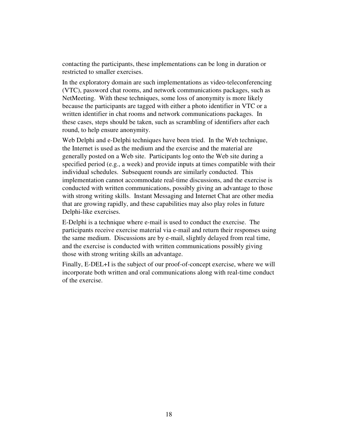contacting the participants, these implementations can be long in duration or restricted to smaller exercises.

In the exploratory domain are such implementations as video-teleconferencing (VTC), password chat rooms, and network communications packages, such as NetMeeting. With these techniques, some loss of anonymity is more likely because the participants are tagged with either a photo identifier in VTC or a written identifier in chat rooms and network communications packages. In these cases, steps should be taken, such as scrambling of identifiers after each round, to help ensure anonymity.

Web Delphi and e-Delphi techniques have been tried. In the Web technique, the Internet is used as the medium and the exercise and the material are generally posted on a Web site. Participants log onto the Web site during a specified period (e.g., a week) and provide inputs at times compatible with their individual schedules. Subsequent rounds are similarly conducted. This implementation cannot accommodate real-time discussions, and the exercise is conducted with written communications, possibly giving an advantage to those with strong writing skills. Instant Messaging and Internet Chat are other media that are growing rapidly, and these capabilities may also play roles in future Delphi-like exercises.

E-Delphi is a technique where e-mail is used to conduct the exercise. The participants receive exercise material via e-mail and return their responses using the same medium. Discussions are by e-mail, slightly delayed from real time, and the exercise is conducted with written communications possibly giving those with strong writing skills an advantage.

Finally, E-DEL+I is the subject of our proof-of-concept exercise, where we will incorporate both written and oral communications along with real-time conduct of the exercise.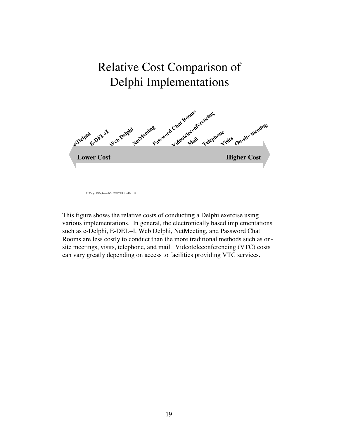

This figure shows the relative costs of conducting a Delphi exercise using various implementations. In general, the electronically based implementations such as e-Delphi, E-DEL+I, Web Delphi, NetMeeting, and Password Chat Rooms are less costly to conduct than the more traditional methods such as onsite meetings, visits, telephone, and mail. Videoteleconferencing (VTC) costs can vary greatly depending on access to facilities providing VTC services.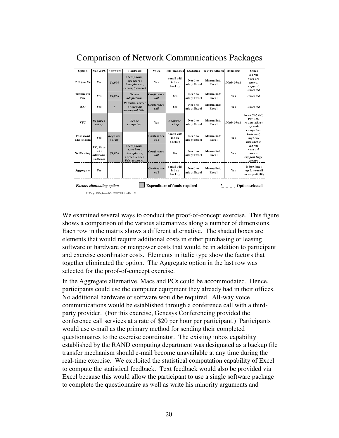| Option                | Mac & PC                                            | Software                   | Hardware                                                                     | Voice                 | <b>File Transfer</b>           | <b>Statistics</b>      | <b>Text Feedback</b> | <b>Hallmarks</b> | Other                                                             |
|-----------------------|-----------------------------------------------------|----------------------------|------------------------------------------------------------------------------|-----------------------|--------------------------------|------------------------|----------------------|------------------|-------------------------------------------------------------------|
| CU See Me             | <b>Yes</b>                                          | \$4.000                    | Microphone,<br>speakers /<br>headphones,<br>server, (camera)                 | <b>Yes</b>            | e-mail with<br>inbox<br>backup | Need to<br>adapt Excel | Manual into<br>Excel | Diminished       | <b>RAND</b><br>network<br>cannot<br>support,<br><b>Untested</b>   |
| Timbucktu<br>Pro      | <b>Yes</b>                                          | \$4.000                    | Server<br>adaptations                                                        | Conference<br>call    | Ye s                           | Need to<br>adapt Excel | Manual into<br>Excel | <b>Yes</b>       | <b>Untested</b>                                                   |
| IСO                   | <b>Yes</b>                                          | $\overline{\mathbf{r}}$    | Potential server<br>or fire wall<br>inco mpatibilities                       | Conference<br>caIl    | Ye s                           | Need to<br>adapt Excel | Manual into<br>Excel | <b>Yes</b>       | <b>Untested</b>                                                   |
| VTC                   | <b>Requires</b><br>s et up                          |                            | Lease<br>computers                                                           | <b>Yes</b>            | <b>Requires</b><br>s et up     | Need to<br>adapt Excel | Manual into<br>Excel | Diminished       | Need SM, DC,<br>Pitt VTC<br>rooms all set<br>up with<br>computers |
| Password<br>Chat Room | <b>Yes</b>                                          | <b>Requires</b><br>s et up |                                                                              | Conference<br>$c$ all | e-mail with<br>inbox<br>backup | Need to<br>adapt Excel | Manual into<br>Excel | <b>Yes</b>       | Untested.<br>might be<br>uns uitab le                             |
| NetMeeting            | PC. Macs<br>with<br>additional<br><b>s</b> of tware | \$1.000                    | Microphone,<br>speakers,<br>headphone,<br>server, leased<br>$PCs$ , (camera) | Conference<br>caIl    | Ye s                           | Need to<br>adapt Excel | Manual into<br>Excel | <b>Yes</b>       | <b>RAND</b><br>network<br>cannot<br>support large<br>groups       |
| Aggregate             | <b>Yes</b>                                          |                            |                                                                              | Conference<br>call    | e-mail with<br>inbox<br>backup | Need to<br>adapt Excel | Manual into<br>Excel | <b>Yes</b>       | In-box back<br>up for e-mail<br>incompatibility                   |

We examined several ways to conduct the proof-of-concept exercise. This figure shows a comparison of the various alternatives along a number of dimensions. Each row in the matrix shows a different alternative. The shaded boxes are elements that would require additional costs in either purchasing or leasing software or hardware or manpower costs that would be in addition to participant and exercise coordinator costs. Elements in italic type show the factors that together eliminated the option. The Aggregate option in the last row was selected for the proof-of-concept exercise.

In the Aggregate alternative, Macs and PCs could be accommodated. Hence, participants could use the computer equipment they already had in their offices. No additional hardware or software would be required. All-way voice communications would be established through a conference call with a thirdparty provider. (For this exercise, Genesys Conferencing provided the conference call services at a rate of \$20 per hour per participant.) Participants would use e-mail as the primary method for sending their completed questionnaires to the exercise coordinator. The existing inbox capability established by the RAND computing department was designated as a backup file transfer mechanism should e-mail become unavailable at any time during the real-time exercise. We exploited the statistical computation capability of Excel to compute the statistical feedback. Text feedback would also be provided via Excel because this would allow the participant to use a single software package to complete the questionnaire as well as write his minority arguments and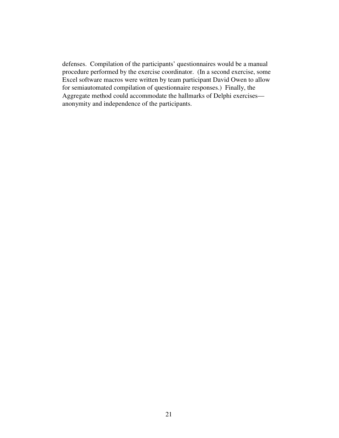defenses. Compilation of the participants' questionnaires would be a manual procedure performed by the exercise coordinator. (In a second exercise, some Excel software macros were written by team participant David Owen to allow for semiautomated compilation of questionnaire responses.) Finally, the Aggregate method could accommodate the hallmarks of Delphi exercises anonymity and independence of the participants.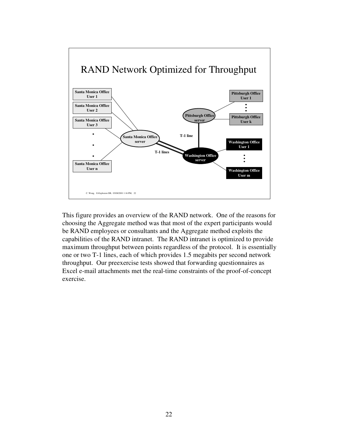

This figure provides an overview of the RAND network. One of the reasons for choosing the Aggregate method was that most of the expert participants would be RAND employees or consultants and the Aggregate method exploits the capabilities of the RAND intranet. The RAND intranet is optimized to provide maximum throughput between points regardless of the protocol. It is essentially one or two T-1 lines, each of which provides 1.5 megabits per second network throughput. Our preexercise tests showed that forwarding questionnaires as Excel e-mail attachments met the real-time constraints of the proof-of-concept exercise.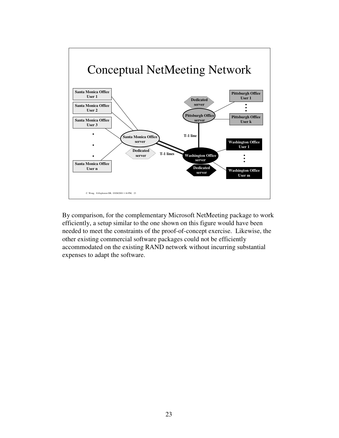

By comparison, for the complementary Microsoft NetMeeting package to work efficiently, a setup similar to the one shown on this figure would have been needed to meet the constraints of the proof-of-concept exercise. Likewise, the other existing commercial software packages could not be efficiently accommodated on the existing RAND network without incurring substantial expenses to adapt the software.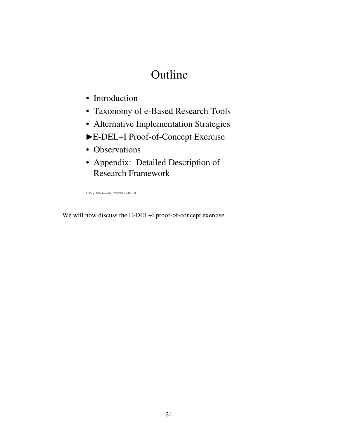# Outline

- Introduction
- Taxonomy of e-Based Research Tools
- Alternative Implementation Strategies
- E-DEL+I Proof-of-Concept Exercise
- Observations
- Appendix: Detailed Description of Research Framework

C. Wong, E-Explosion DB, 03/08/2001 1:16 PM, 24

We will now discuss the E-DEL+I proof-of-concept exercise.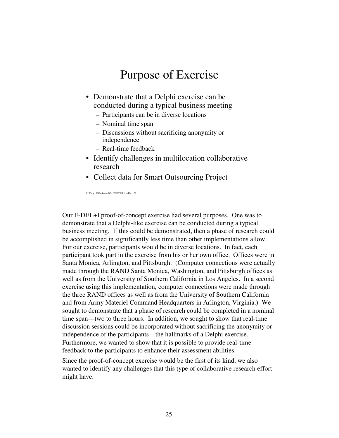## Purpose of Exercise

- Demonstrate that a Delphi exercise can be conducted during a typical business meeting
	- Participants can be in diverse locations
	- Nominal time span
	- Discussions without sacrificing anonymity or independence
	- Real-time feedback
- Identify challenges in multilocation collaborative research
- Collect data for Smart Outsourcing Project

E-Explosion DB, 03/08/2001 1:16 PM, 25

Our E-DEL+I proof-of-concept exercise had several purposes. One was to demonstrate that a Delphi-like exercise can be conducted during a typical business meeting. If this could be demonstrated, then a phase of research could be accomplished in significantly less time than other implementations allow. For our exercise, participants would be in diverse locations. In fact, each participant took part in the exercise from his or her own office. Offices were in Santa Monica, Arlington, and Pittsburgh. (Computer connections were actually made through the RAND Santa Monica, Washington, and Pittsburgh offices as well as from the University of Southern California in Los Angeles. In a second exercise using this implementation, computer connections were made through the three RAND offices as well as from the University of Southern California and from Army Materiel Command Headquarters in Arlington, Virginia.) We sought to demonstrate that a phase of research could be completed in a nominal time span—two to three hours. In addition, we sought to show that real-time discussion sessions could be incorporated without sacrificing the anonymity or independence of the participants—the hallmarks of a Delphi exercise. Furthermore, we wanted to show that it is possible to provide real-time feedback to the participants to enhance their assessment abilities.

Since the proof-of-concept exercise would be the first of its kind, we also wanted to identify any challenges that this type of collaborative research effort might have.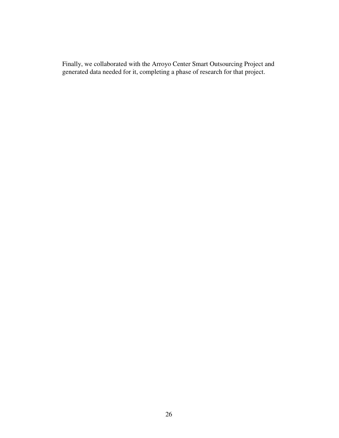Finally, we collaborated with the Arroyo Center Smart Outsourcing Project and generated data needed for it, completing a phase of research for that project.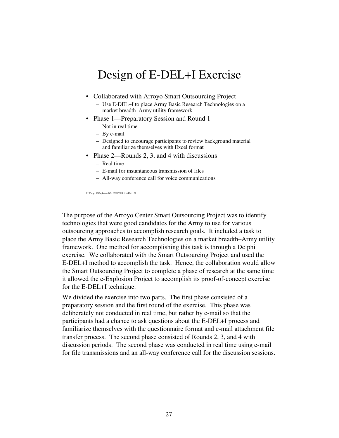

The purpose of the Arroyo Center Smart Outsourcing Project was to identify technologies that were good candidates for the Army to use for various outsourcing approaches to accomplish research goals. It included a task to place the Army Basic Research Technologies on a market breadth–Army utility framework. One method for accomplishing this task is through a Delphi exercise. We collaborated with the Smart Outsourcing Project and used the E-DEL+I method to accomplish the task. Hence, the collaboration would allow the Smart Outsourcing Project to complete a phase of research at the same time it allowed the e-Explosion Project to accomplish its proof-of-concept exercise for the E-DEL+I technique.

We divided the exercise into two parts. The first phase consisted of a preparatory session and the first round of the exercise. This phase was deliberately not conducted in real time, but rather by e-mail so that the participants had a chance to ask questions about the E-DEL+I process and familiarize themselves with the questionnaire format and e-mail attachment file transfer process. The second phase consisted of Rounds 2, 3, and 4 with discussion periods. The second phase was conducted in real time using e-mail for file transmissions and an all-way conference call for the discussion sessions.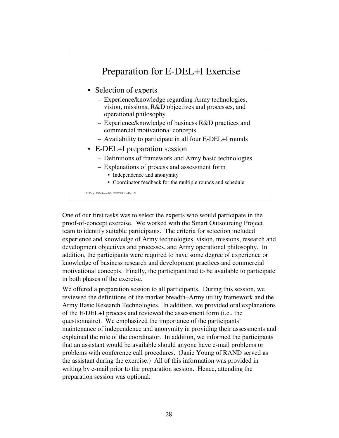

One of our first tasks was to select the experts who would participate in the proof-of-concept exercise. We worked with the Smart Outsourcing Project team to identify suitable participants. The criteria for selection included experience and knowledge of Army technologies, vision, missions, research and development objectives and processes, and Army operational philosophy. In addition, the participants were required to have some degree of experience or knowledge of business research and development practices and commercial motivational concepts. Finally, the participant had to be available to participate in both phases of the exercise.

We offered a preparation session to all participants. During this session, we reviewed the definitions of the market breadth–Army utility framework and the Army Basic Research Technologies. In addition, we provided oral explanations of the E-DEL+I process and reviewed the assessment form (i.e., the questionnaire). We emphasized the importance of the participants' maintenance of independence and anonymity in providing their assessments and explained the role of the coordinator. In addition, we informed the participants that an assistant would be available should anyone have e-mail problems or problems with conference call procedures. (Janie Young of RAND served as the assistant during the exercise.) All of this information was provided in writing by e-mail prior to the preparation session. Hence, attending the preparation session was optional.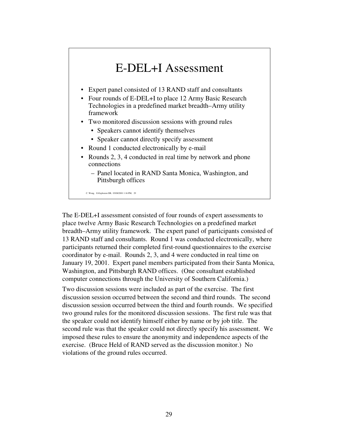## E-DEL+I Assessment

- Expert panel consisted of 13 RAND staff and consultants
- Four rounds of E-DEL+I to place 12 Army Basic Research Technologies in a predefined market breadth–Army utility framework
- Two monitored discussion sessions with ground rules
	- Speakers cannot identify themselves
	- Speaker cannot directly specify assessment
- Round 1 conducted electronically by e-mail
- Rounds 2, 3, 4 conducted in real time by network and phone connections
	- Panel located in RAND Santa Monica, Washington, and Pittsburgh offices

C. Wong, E-Explosion DB, 03/08/2001 1:16 PM, 29

The E-DEL+I assessment consisted of four rounds of expert assessments to place twelve Army Basic Research Technologies on a predefined market breadth–Army utility framework. The expert panel of participants consisted of 13 RAND staff and consultants. Round 1 was conducted electronically, where participants returned their completed first-round questionnaires to the exercise coordinator by e-mail. Rounds 2, 3, and 4 were conducted in real time on January 19, 2001. Expert panel members participated from their Santa Monica, Washington, and Pittsburgh RAND offices. (One consultant established computer connections through the University of Southern California.)

Two discussion sessions were included as part of the exercise. The first discussion session occurred between the second and third rounds. The second discussion session occurred between the third and fourth rounds. We specified two ground rules for the monitored discussion sessions. The first rule was that the speaker could not identify himself either by name or by job title. The second rule was that the speaker could not directly specify his assessment. We imposed these rules to ensure the anonymity and independence aspects of the exercise. (Bruce Held of RAND served as the discussion monitor.) No violations of the ground rules occurred.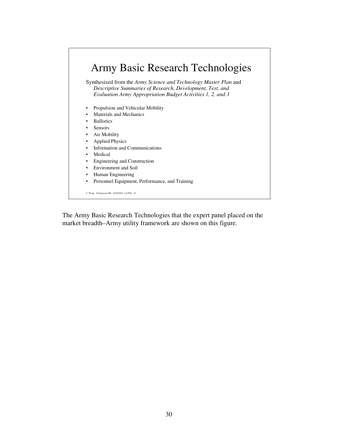

The Army Basic Research Technologies that the expert panel placed on the market breadth–Army utility framework are shown on this figure.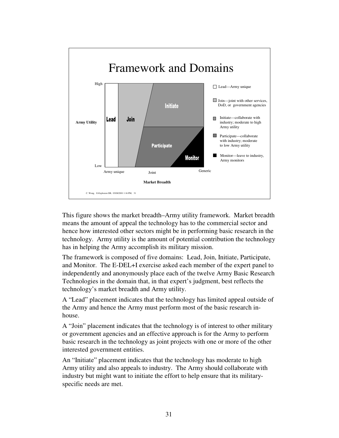

This figure shows the market breadth–Army utility framework. Market breadth means the amount of appeal the technology has to the commercial sector and hence how interested other sectors might be in performing basic research in the technology. Army utility is the amount of potential contribution the technology has in helping the Army accomplish its military mission.

The framework is composed of five domains: Lead, Join, Initiate, Participate, and Monitor. The E-DEL+I exercise asked each member of the expert panel to independently and anonymously place each of the twelve Army Basic Research Technologies in the domain that, in that expert's judgment, best reflects the technology's market breadth and Army utility.

A "Lead" placement indicates that the technology has limited appeal outside of the Army and hence the Army must perform most of the basic research inhouse.

A "Join" placement indicates that the technology is of interest to other military or government agencies and an effective approach is for the Army to perform basic research in the technology as joint projects with one or more of the other interested government entities.

An "Initiate" placement indicates that the technology has moderate to high Army utility and also appeals to industry. The Army should collaborate with industry but might want to initiate the effort to help ensure that its militaryspecific needs are met.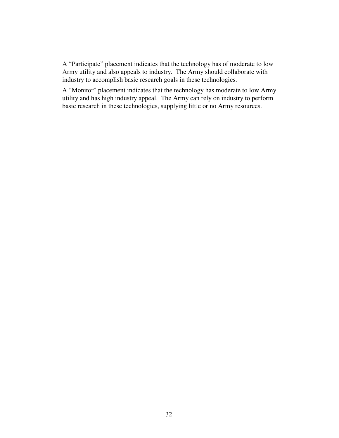A "Participate" placement indicates that the technology has of moderate to low Army utility and also appeals to industry. The Army should collaborate with industry to accomplish basic research goals in these technologies.

A "Monitor" placement indicates that the technology has moderate to low Army utility and has high industry appeal. The Army can rely on industry to perform basic research in these technologies, supplying little or no Army resources.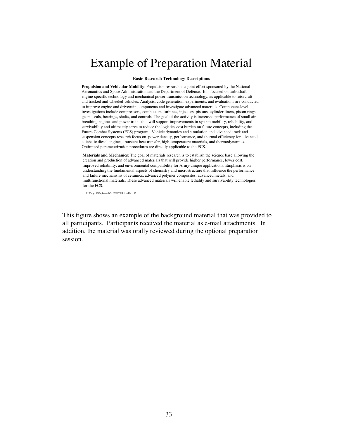### Example of Preparation Material

#### **Basic Research Technology Descriptions**

**Propulsion and Vehicular Mobility**: Propulsion research is a joint effort sponsored by the National Aeronautics and Space Administration and the Department of Defense. It is focused on turboshaft engine-specific technology and mechanical power transmission technology, as applicable to rotorcraft and tracked and wheeled vehicles. Analysis, code generation, experiments, and evaluations are conducted to improve engine and drivetrain components and investigate advanced materials. Component-level investigations include compressors, combustors, turbines, injectors, pistons, cylinder liners, piston rings, gears, seals, bearings, shafts, and controls. The goal of the activity is increased performance of small airbreathing engines and power trains that will support improvements in system mobility, reliability, and survivability and ultimately serve to reduce the logistics cost burden on future concepts, including the Future Combat Systems (FCS) program. Vehicle dynamics and simulation and advanced track and suspension concepts research focus on power density, performance, and thermal efficiency for advanced adiabatic diesel engines, transient heat transfer, high-temperature materials, and thermodynamics. Optimized parameterization procedures are directly applicable to the FCS.

**Materials and Mechanics**: The goal of materials research is to establish the science base allowing the creation and production of advanced materials that will provide higher performance, lower cost, improved reliability, and environmental compatibility for Army-unique applications. Emphasis is on understanding the fundamental aspects of chemistry and microstructure that influence the performance and failure mechanisms of ceramics, advanced polymer composites, advanced metals, and multifunctional materials. These advanced materials will enable lethality and survivability technologies for the FCS.

C. Wong, E-Explosion DB, 03/08/2001 1:16 PM, 33

This figure shows an example of the background material that was provided to all participants. Participants received the material as e-mail attachments. In addition, the material was orally reviewed during the optional preparation session.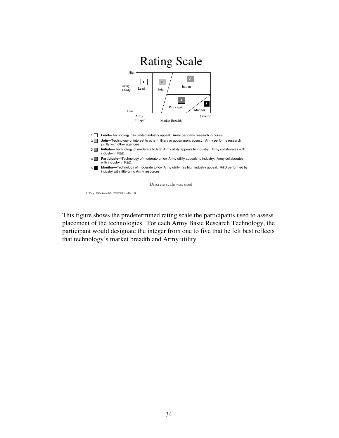

This figure shows the predetermined rating scale the participants used to assess placement of the technologies. For each Army Basic Research Technology, the participant would designate the integer from one to five that he felt best reflects that technology's market breadth and Army utility.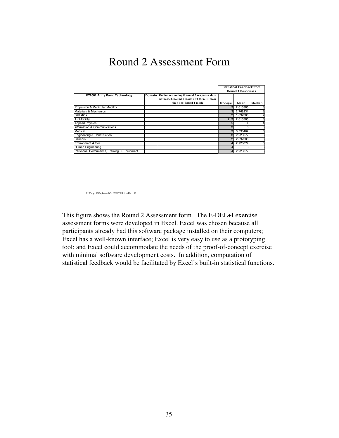|                                              |                                                                                                                          | <b>Statistical Feedback from</b><br>Round 1 Responses |          |        |
|----------------------------------------------|--------------------------------------------------------------------------------------------------------------------------|-------------------------------------------------------|----------|--------|
| FY2001 Army Basic Technology                 | Domain Outline reasoning if Round 2 response does<br>not match Round 1 mode or if there is more<br>than one Round 1 mode | Mode(s)                                               | Mean     | Median |
| Propulsion & Vehicular Mobility              |                                                                                                                          |                                                       | 2.615385 |        |
| Materials & Mechanics                        |                                                                                                                          | 3                                                     | 2.769231 |        |
| <b>Ballistics</b>                            |                                                                                                                          | $\mathfrak{p}$                                        | 1.692308 |        |
| Air Mobility                                 |                                                                                                                          | 2, 3                                                  | 2.615385 |        |
| <b>Applied Physics</b>                       |                                                                                                                          | 5                                                     | 4        |        |
| Information & Communications                 |                                                                                                                          | 3                                                     | 3        |        |
| Medical                                      |                                                                                                                          | 3                                                     | 3.538462 |        |
| <b>Engineering &amp; Construction</b>        |                                                                                                                          | 3                                                     | 2.923077 |        |
| <b>Sensors</b>                               |                                                                                                                          | $\overline{2}$                                        | 2.692308 |        |
| Environment & Soil                           |                                                                                                                          | 4                                                     | 2.923077 |        |
| Human Engineering                            |                                                                                                                          | 4                                                     | 3        |        |
| Personnel Performance, Training, & Equipment |                                                                                                                          | $\overline{\mathbf{A}}$                               | 2.923077 |        |

This figure shows the Round 2 Assessment form. The E-DEL+I exercise assessment forms were developed in Excel. Excel was chosen because all participants already had this software package installed on their computers; Excel has a well-known interface; Excel is very easy to use as a prototyping tool; and Excel could accommodate the needs of the proof-of-concept exercise with minimal software development costs. In addition, computation of statistical feedback would be facilitated by Excel's built-in statistical functions.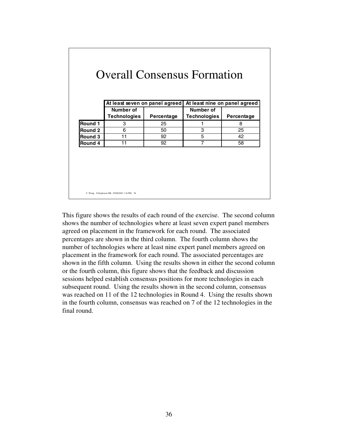|         | At least seven on panel agreed<br>Number of |            | At least nine on panel agreed<br>Number of |            |
|---------|---------------------------------------------|------------|--------------------------------------------|------------|
|         | <b>Technologies</b>                         | Percentage | <b>Technologies</b>                        | Percentage |
| Round 1 | 3                                           | 25         | 1                                          | 8          |
| Round 2 | 6                                           | 50         | 3                                          | 25         |
| Round 3 | 11                                          | 92         | 5                                          | 42         |
| Round 4 | 11                                          | 92         | 7                                          | 58         |
|         |                                             |            |                                            |            |

This figure shows the results of each round of the exercise. The second column shows the number of technologies where at least seven expert panel members agreed on placement in the framework for each round. The associated percentages are shown in the third column. The fourth column shows the number of technologies where at least nine expert panel members agreed on placement in the framework for each round. The associated percentages are shown in the fifth column. Using the results shown in either the second column or the fourth column, this figure shows that the feedback and discussion sessions helped establish consensus positions for more technologies in each subsequent round. Using the results shown in the second column, consensus was reached on 11 of the 12 technologies in Round 4. Using the results shown in the fourth column, consensus was reached on 7 of the 12 technologies in the final round.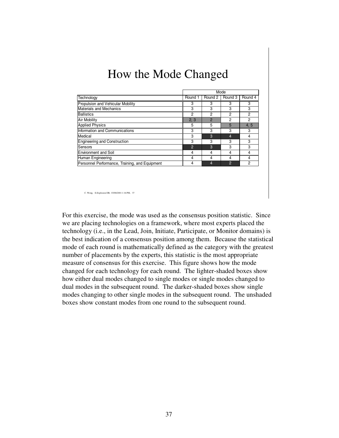|                                                |                |                | Mode           |                |
|------------------------------------------------|----------------|----------------|----------------|----------------|
| Technology                                     | Round 1        | Round 2        | Round 3        | Round 4        |
| Propulsion and Vehicular Mobility              | 3              | 3              | 3              | 3              |
| <b>Materials and Mechanics</b>                 | 3              | 3              | 3              | 3              |
| <b>Ballistics</b>                              | $\overline{2}$ | 2              | 2              | 2              |
| Air Mobility                                   | 2, 3           | $\overline{2}$ | 2              | $\overline{2}$ |
| <b>Applied Physics</b>                         | 5              | 5              | 5              | 4, 5           |
| Information and Communications                 | 3              | 3              | 3              | 3              |
| Medical                                        | 3              | 3              | 4              | 4              |
| <b>Engineering and Construction</b>            | 3              | 3              | 3              | 3              |
| Sensors                                        | $\overline{2}$ | 3              | 3              | 3              |
| <b>Environment and Soil</b>                    | 4              | 4              | 4              | 4              |
| Human Engineering                              | 4              | 4              | 4              | 4              |
| Personnel Performance, Training, and Equipment | 4              | $\overline{4}$ | $\overline{2}$ | 2              |

For this exercise, the mode was used as the consensus position statistic. Since we are placing technologies on a framework, where most experts placed the technology (i.e., in the Lead, Join, Initiate, Participate, or Monitor domains) is the best indication of a consensus position among them. Because the statistical mode of each round is mathematically defined as the category with the greatest number of placements by the experts, this statistic is the most appropriate measure of consensus for this exercise. This figure shows how the mode changed for each technology for each round. The lighter-shaded boxes show how either dual modes changed to single modes or single modes changed to dual modes in the subsequent round. The darker-shaded boxes show single modes changing to other single modes in the subsequent round. The unshaded boxes show constant modes from one round to the subsequent round.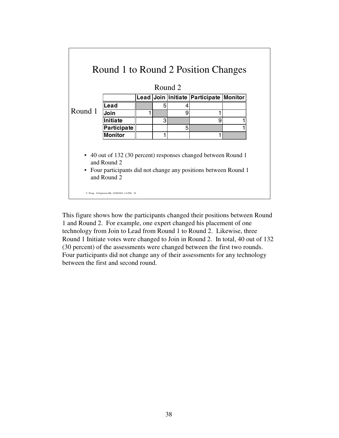|         |                                                                                                                                                   |   | Round 2 |                                        |  |
|---------|---------------------------------------------------------------------------------------------------------------------------------------------------|---|---------|----------------------------------------|--|
|         |                                                                                                                                                   |   |         | Lead Join Initiate Participate Monitor |  |
|         | Lead                                                                                                                                              | 5 | 4       |                                        |  |
| Round 1 | Join                                                                                                                                              |   | 9       |                                        |  |
|         | Initiate                                                                                                                                          | 3 |         | 9                                      |  |
|         | Participate                                                                                                                                       |   | 5       |                                        |  |
|         | <b>Monitor</b>                                                                                                                                    | 1 |         |                                        |  |
|         | • 40 out of 132 (30 percent) responses changed between Round 1<br>and Round 2<br>• Four participants did not change any positions between Round 1 |   |         |                                        |  |

This figure shows how the participants changed their positions between Round 1 and Round 2. For example, one expert changed his placement of one technology from Join to Lead from Round 1 to Round 2. Likewise, three Round 1 Initiate votes were changed to Join in Round 2. In total, 40 out of 132 (30 percent) of the assessments were changed between the first two rounds. Four participants did not change any of their assessments for any technology between the first and second round.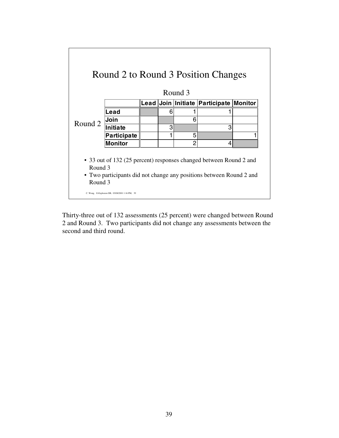|                    |                                                                                                                                           |   | Round 3 | Round 2 to Round 3 Position Changes    |  |
|--------------------|-------------------------------------------------------------------------------------------------------------------------------------------|---|---------|----------------------------------------|--|
|                    |                                                                                                                                           |   |         | Lead Join Initiate Participate Monitor |  |
|                    | Lead                                                                                                                                      | 6 |         |                                        |  |
| Round 2            | Join                                                                                                                                      |   | 6       |                                        |  |
|                    | <b>Initiate</b>                                                                                                                           | 3 |         | З                                      |  |
|                    | Participate                                                                                                                               |   | 5       |                                        |  |
|                    | <b>Monitor</b>                                                                                                                            |   | 2       | 4                                      |  |
| Round 3<br>Round 3 | • 33 out of 132 (25 percent) responses changed between Round 2 and<br>• Two participants did not change any positions between Round 2 and |   |         |                                        |  |

Thirty-three out of 132 assessments (25 percent) were changed between Round 2 and Round 3. Two participants did not change any assessments between the second and third round.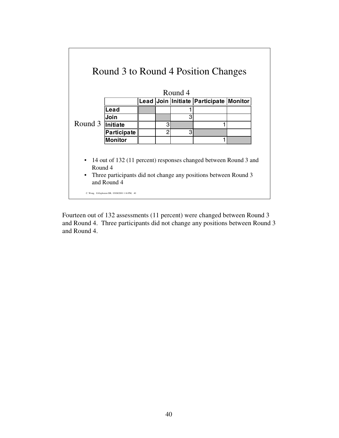|                                   |                                                                                                                                                    |   | Round 4 |                                        |  |
|-----------------------------------|----------------------------------------------------------------------------------------------------------------------------------------------------|---|---------|----------------------------------------|--|
|                                   |                                                                                                                                                    |   |         | Lead Join Initiate Participate Monitor |  |
|                                   | Lead                                                                                                                                               |   |         |                                        |  |
|                                   | Join                                                                                                                                               |   | З       |                                        |  |
| Round 3                           | Initiate                                                                                                                                           | 3 |         |                                        |  |
|                                   | <b>Participate</b>                                                                                                                                 | 2 | 3       |                                        |  |
|                                   | <b>Monitor</b>                                                                                                                                     |   |         |                                        |  |
| $\bullet$<br>Round 4<br>$\bullet$ | 14 out of 132 (11 percent) responses changed between Round 3 and<br>Three participants did not change any positions between Round 3<br>and Round 4 |   |         |                                        |  |

 $\sqrt{2}$ 

Fourteen out of 132 assessments (11 percent) were changed between Round 3 and Round 4. Three participants did not change any positions between Round 3 and Round 4.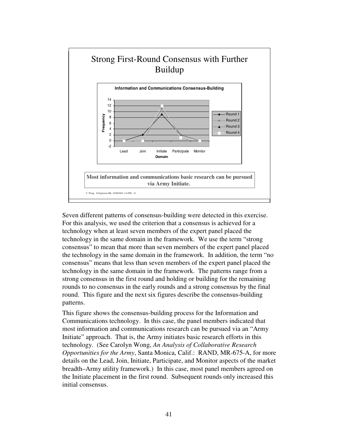

Seven different patterns of consensus-building were detected in this exercise. For this analysis, we used the criterion that a consensus is achieved for a technology when at least seven members of the expert panel placed the technology in the same domain in the framework. We use the term "strong consensus" to mean that more than seven members of the expert panel placed the technology in the same domain in the framework. In addition, the term "no consensus" means that less than seven members of the expert panel placed the technology in the same domain in the framework. The patterns range from a strong consensus in the first round and holding or building for the remaining rounds to no consensus in the early rounds and a strong consensus by the final round. This figure and the next six figures describe the consensus-building patterns.

This figure shows the consensus-building process for the Information and Communications technology. In this case, the panel members indicated that most information and communications research can be pursued via an "Army Initiate" approach. That is, the Army initiates basic research efforts in this technology. (See Carolyn Wong, *An Analysis of Collaborative Research Opportunities for the Army*, Santa Monica, Calif.: RAND, MR-675-A, for more details on the Lead, Join, Initiate, Participate, and Monitor aspects of the market breadth–Army utility framework.) In this case, most panel members agreed on the Initiate placement in the first round. Subsequent rounds only increased this initial consensus.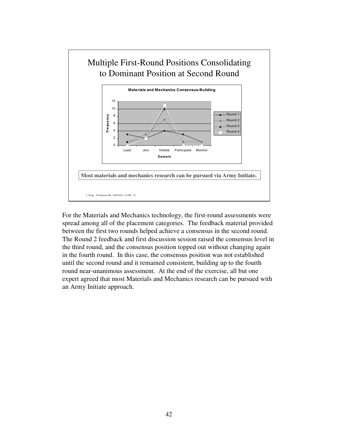

For the Materials and Mechanics technology, the first-round assessments were spread among all of the placement categories. The feedback material provided between the first two rounds helped achieve a consensus in the second round. The Round 2 feedback and first discussion session raised the consensus level in the third round, and the consensus position topped out without changing again in the fourth round. In this case, the consensus position was not established until the second round and it remained consistent, building up to the fourth round near-unanimous assessment. At the end of the exercise, all but one expert agreed that most Materials and Mechanics research can be pursued with an Army Initiate approach.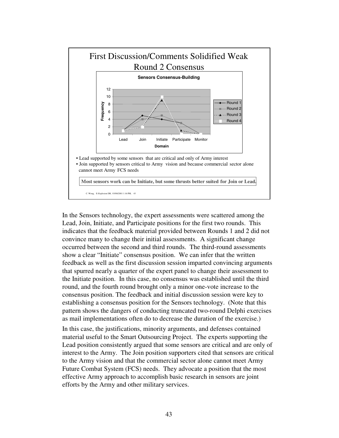

In the Sensors technology, the expert assessments were scattered among the Lead, Join, Initiate, and Participate positions for the first two rounds. This indicates that the feedback material provided between Rounds 1 and 2 did not convince many to change their initial assessments. A significant change occurred between the second and third rounds. The third-round assessments show a clear "Initiate" consensus position. We can infer that the written feedback as well as the first discussion session imparted convincing arguments that spurred nearly a quarter of the expert panel to change their assessment to the Initiate position. In this case, no consensus was established until the third round, and the fourth round brought only a minor one-vote increase to the consensus position. The feedback and initial discussion session were key to establishing a consensus position for the Sensors technology. (Note that this pattern shows the dangers of conducting truncated two-round Delphi exercises as mail implementations often do to decrease the duration of the exercise.)

In this case, the justifications, minority arguments, and defenses contained material useful to the Smart Outsourcing Project. The experts supporting the Lead position consistently argued that some sensors are critical and are only of interest to the Army. The Join position supporters cited that sensors are critical to the Army vision and that the commercial sector alone cannot meet Army Future Combat System (FCS) needs. They advocate a position that the most effective Army approach to accomplish basic research in sensors are joint efforts by the Army and other military services.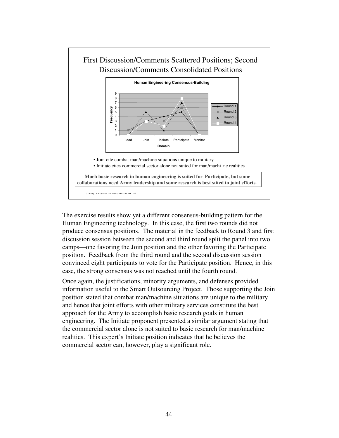![](_page_48_Figure_0.jpeg)

The exercise results show yet a different consensus-building pattern for the Human Engineering technology. In this case, the first two rounds did not produce consensus positions. The material in the feedback to Round 3 and first discussion session between the second and third round split the panel into two camps—one favoring the Join position and the other favoring the Participate position. Feedback from the third round and the second discussion session convinced eight participants to vote for the Participate position. Hence, in this case, the strong consensus was not reached until the fourth round.

Once again, the justifications, minority arguments, and defenses provided information useful to the Smart Outsourcing Project. Those supporting the Join position stated that combat man/machine situations are unique to the military and hence that joint efforts with other military services constitute the best approach for the Army to accomplish basic research goals in human engineering. The Initiate proponent presented a similar argument stating that the commercial sector alone is not suited to basic research for man/machine realities. This expert's Initiate position indicates that he believes the commercial sector can, however, play a significant role.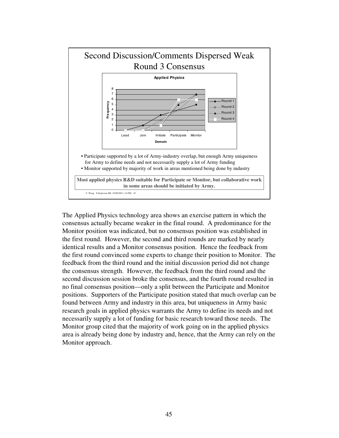![](_page_49_Figure_0.jpeg)

The Applied Physics technology area shows an exercise pattern in which the consensus actually became weaker in the final round. A predominance for the Monitor position was indicated, but no consensus position was established in the first round. However, the second and third rounds are marked by nearly identical results and a Monitor consensus position. Hence the feedback from the first round convinced some experts to change their position to Monitor. The feedback from the third round and the initial discussion period did not change the consensus strength. However, the feedback from the third round and the second discussion session broke the consensus, and the fourth round resulted in no final consensus position—only a split between the Participate and Monitor positions. Supporters of the Participate position stated that much overlap can be found between Army and industry in this area, but uniqueness in Army basic research goals in applied physics warrants the Army to define its needs and not necessarily supply a lot of funding for basic research toward those needs. The Monitor group cited that the majority of work going on in the applied physics area is already being done by industry and, hence, that the Army can rely on the Monitor approach.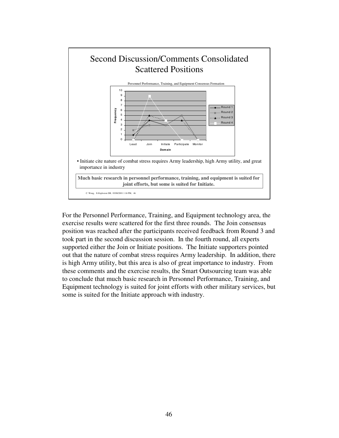![](_page_50_Figure_0.jpeg)

For the Personnel Performance, Training, and Equipment technology area, the exercise results were scattered for the first three rounds. The Join consensus position was reached after the participants received feedback from Round 3 and took part in the second discussion session. In the fourth round, all experts supported either the Join or Initiate positions. The Initiate supporters pointed out that the nature of combat stress requires Army leadership. In addition, there is high Army utility, but this area is also of great importance to industry. From these comments and the exercise results, the Smart Outsourcing team was able to conclude that much basic research in Personnel Performance, Training, and Equipment technology is suited for joint efforts with other military services, but some is suited for the Initiate approach with industry.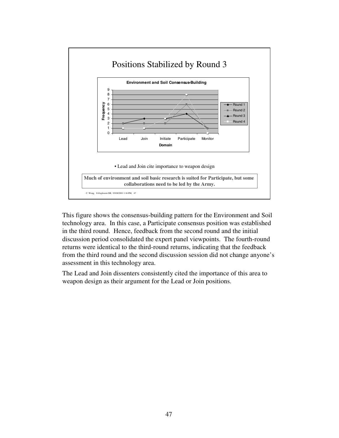![](_page_51_Figure_0.jpeg)

This figure shows the consensus-building pattern for the Environment and Soil technology area. In this case, a Participate consensus position was established in the third round. Hence, feedback from the second round and the initial discussion period consolidated the expert panel viewpoints. The fourth-round returns were identical to the third-round returns, indicating that the feedback from the third round and the second discussion session did not change anyone's assessment in this technology area.

The Lead and Join dissenters consistently cited the importance of this area to weapon design as their argument for the Lead or Join positions.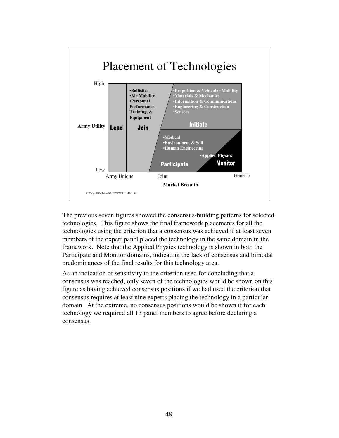![](_page_52_Figure_0.jpeg)

The previous seven figures showed the consensus-building patterns for selected technologies. This figure shows the final framework placements for all the technologies using the criterion that a consensus was achieved if at least seven members of the expert panel placed the technology in the same domain in the framework. Note that the Applied Physics technology is shown in both the Participate and Monitor domains, indicating the lack of consensus and bimodal predominances of the final results for this technology area.

As an indication of sensitivity to the criterion used for concluding that a consensus was reached, only seven of the technologies would be shown on this figure as having achieved consensus positions if we had used the criterion that consensus requires at least nine experts placing the technology in a particular domain. At the extreme, no consensus positions would be shown if for each technology we required all 13 panel members to agree before declaring a consensus.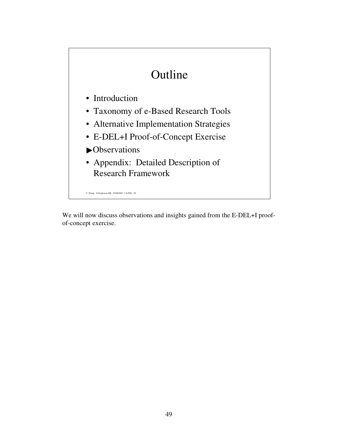# Outline

- Introduction
- Taxonomy of e-Based Research Tools
- Alternative Implementation Strategies
- E-DEL+I Proof-of-Concept Exercise
- **N**Observations
- Appendix: Detailed Description of Research Framework

C. Wong, E-Explosion DB, 03/08/2001 1:16 PM, 49

We will now discuss observations and insights gained from the E-DEL+I proofof-concept exercise.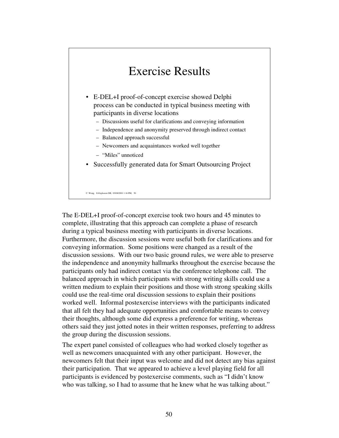### Exercise Results

- E-DEL+I proof-of-concept exercise showed Delphi process can be conducted in typical business meeting with participants in diverse locations
	- Discussions useful for clarifications and conveying information
	- Independence and anonymity preserved through indirect contact
	- Balanced approach successful
	- Newcomers and acquaintances worked well together
	- "Miles" unnoticed
- Successfully generated data for Smart Outsourcing Project

C. Wong, E-Explosion DB, 03/08/2001 1:16 PM, 50

The E-DEL+I proof-of-concept exercise took two hours and 45 minutes to complete, illustrating that this approach can complete a phase of research during a typical business meeting with participants in diverse locations. Furthermore, the discussion sessions were useful both for clarifications and for conveying information. Some positions were changed as a result of the discussion sessions. With our two basic ground rules, we were able to preserve the independence and anonymity hallmarks throughout the exercise because the participants only had indirect contact via the conference telephone call. The balanced approach in which participants with strong writing skills could use a written medium to explain their positions and those with strong speaking skills could use the real-time oral discussion sessions to explain their positions worked well. Informal postexercise interviews with the participants indicated that all felt they had adequate opportunities and comfortable means to convey their thoughts, although some did express a preference for writing, whereas others said they just jotted notes in their written responses, preferring to address the group during the discussion sessions.

The expert panel consisted of colleagues who had worked closely together as well as newcomers unacquainted with any other participant. However, the newcomers felt that their input was welcome and did not detect any bias against their participation. That we appeared to achieve a level playing field for all participants is evidenced by postexercise comments, such as "I didn't know who was talking, so I had to assume that he knew what he was talking about."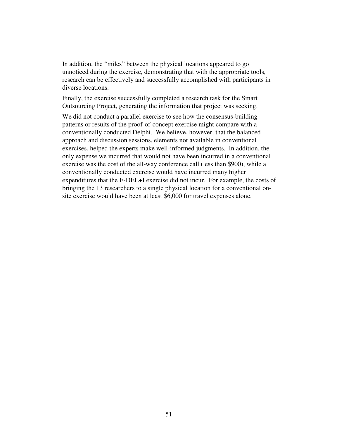In addition, the "miles" between the physical locations appeared to go unnoticed during the exercise, demonstrating that with the appropriate tools, research can be effectively and successfully accomplished with participants in diverse locations.

Finally, the exercise successfully completed a research task for the Smart Outsourcing Project, generating the information that project was seeking.

We did not conduct a parallel exercise to see how the consensus-building patterns or results of the proof-of-concept exercise might compare with a conventionally conducted Delphi. We believe, however, that the balanced approach and discussion sessions, elements not available in conventional exercises, helped the experts make well-informed judgments. In addition, the only expense we incurred that would not have been incurred in a conventional exercise was the cost of the all-way conference call (less than \$900), while a conventionally conducted exercise would have incurred many higher expenditures that the E-DEL+I exercise did not incur. For example, the costs of bringing the 13 researchers to a single physical location for a conventional onsite exercise would have been at least \$6,000 for travel expenses alone.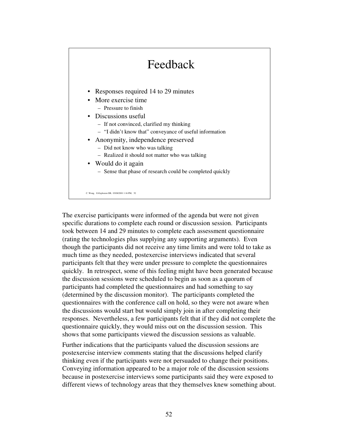#### C. Wong, E-Explosion DB, 03/08/2001 1:16 PM, 52 Feedback • Responses required 14 to 29 minutes • More exercise time – Pressure to finish • Discussions useful – If not convinced, clarified my thinking – "I didn't know that" conveyance of useful information • Anonymity, independence preserved – Did not know who was talking – Realized it should not matter who was talking • Would do it again – Sense that phase of research could be completed quickly

The exercise participants were informed of the agenda but were not given specific durations to complete each round or discussion session. Participants took between 14 and 29 minutes to complete each assessment questionnaire (rating the technologies plus supplying any supporting arguments). Even though the participants did not receive any time limits and were told to take as much time as they needed, postexercise interviews indicated that several participants felt that they were under pressure to complete the questionnaires quickly. In retrospect, some of this feeling might have been generated because the discussion sessions were scheduled to begin as soon as a quorum of participants had completed the questionnaires and had something to say (determined by the discussion monitor). The participants completed the questionnaires with the conference call on hold, so they were not aware when the discussions would start but would simply join in after completing their responses. Nevertheless, a few participants felt that if they did not complete the questionnaire quickly, they would miss out on the discussion session. This shows that some participants viewed the discussion sessions as valuable.

Further indications that the participants valued the discussion sessions are postexercise interview comments stating that the discussions helped clarify thinking even if the participants were not persuaded to change their positions. Conveying information appeared to be a major role of the discussion sessions because in postexercise interviews some participants said they were exposed to different views of technology areas that they themselves knew something about.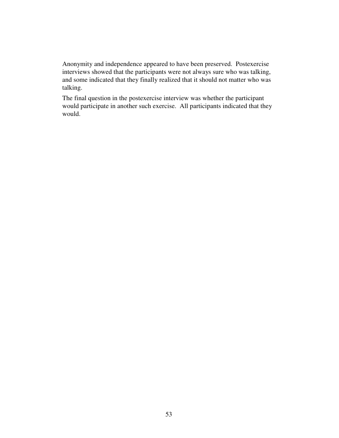Anonymity and independence appeared to have been preserved. Postexercise interviews showed that the participants were not always sure who was talking, and some indicated that they finally realized that it should not matter who was talking.

The final question in the postexercise interview was whether the participant would participate in another such exercise. All participants indicated that they would.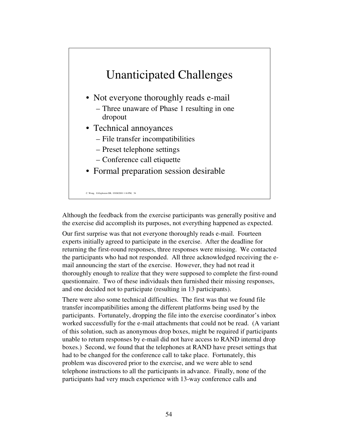![](_page_58_Figure_0.jpeg)

Although the feedback from the exercise participants was generally positive and the exercise did accomplish its purposes, not everything happened as expected.

Our first surprise was that not everyone thoroughly reads e-mail. Fourteen experts initially agreed to participate in the exercise. After the deadline for returning the first-round responses, three responses were missing. We contacted the participants who had not responded. All three acknowledged receiving the email announcing the start of the exercise. However, they had not read it thoroughly enough to realize that they were supposed to complete the first-round questionnaire. Two of these individuals then furnished their missing responses, and one decided not to participate (resulting in 13 participants).

There were also some technical difficulties. The first was that we found file transfer incompatibilities among the different platforms being used by the participants. Fortunately, dropping the file into the exercise coordinator's inbox worked successfully for the e-mail attachments that could not be read. (A variant of this solution, such as anonymous drop boxes, might be required if participants unable to return responses by e-mail did not have access to RAND internal drop boxes.) Second, we found that the telephones at RAND have preset settings that had to be changed for the conference call to take place. Fortunately, this problem was discovered prior to the exercise, and we were able to send telephone instructions to all the participants in advance. Finally, none of the participants had very much experience with 13-way conference calls and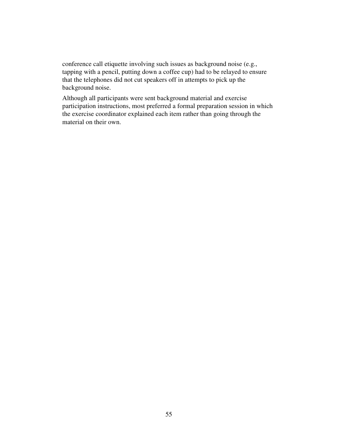conference call etiquette involving such issues as background noise (e.g., tapping with a pencil, putting down a coffee cup) had to be relayed to ensure that the telephones did not cut speakers off in attempts to pick up the background noise.

Although all participants were sent background material and exercise participation instructions, most preferred a formal preparation session in which the exercise coordinator explained each item rather than going through the material on their own.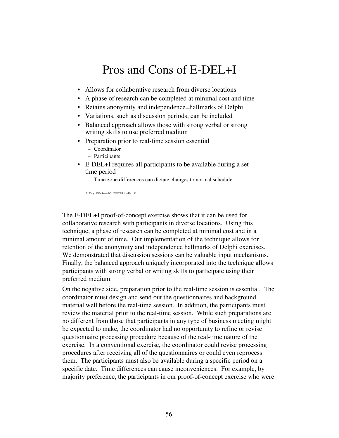### Pros and Cons of E-DEL+I

- Allows for collaborative research from diverse locations
- A phase of research can be completed at minimal cost and time
- Retains anonymity and independence—hallmarks of Delphi
- Variations, such as discussion periods, can be included
- Balanced approach allows those with strong verbal or strong writing skills to use preferred medium
- Preparation prior to real-time session essential
	- Coordinator
	- Participants
- E-DEL+I requires all participants to be available during a set time period
	- Time zone differences can dictate changes to normal schedule

C. Wong, E-Explosion DB, 03/08/2001 1:16 PM, 56

The E-DEL+I proof-of-concept exercise shows that it can be used for collaborative research with participants in diverse locations. Using this technique, a phase of research can be completed at minimal cost and in a minimal amount of time. Our implementation of the technique allows for retention of the anonymity and independence hallmarks of Delphi exercises. We demonstrated that discussion sessions can be valuable input mechanisms. Finally, the balanced approach uniquely incorporated into the technique allows participants with strong verbal or writing skills to participate using their preferred medium.

On the negative side, preparation prior to the real-time session is essential. The coordinator must design and send out the questionnaires and background material well before the real-time session. In addition, the participants must review the material prior to the real-time session. While such preparations are no different from those that participants in any type of business meeting might be expected to make, the coordinator had no opportunity to refine or revise questionnaire processing procedure because of the real-time nature of the exercise. In a conventional exercise, the coordinator could revise processing procedures after receiving all of the questionnaires or could even reprocess them. The participants must also be available during a specific period on a specific date. Time differences can cause inconveniences. For example, by majority preference, the participants in our proof-of-concept exercise who were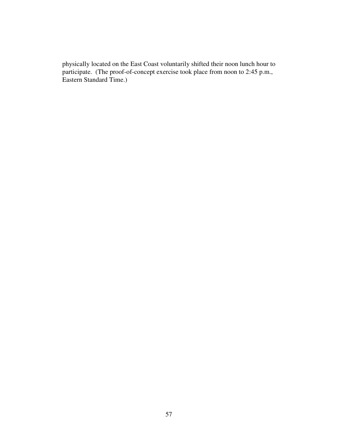physically located on the East Coast voluntarily shifted their noon lunch hour to participate. (The proof-of-concept exercise took place from noon to 2:45 p.m., Eastern Standard Time.)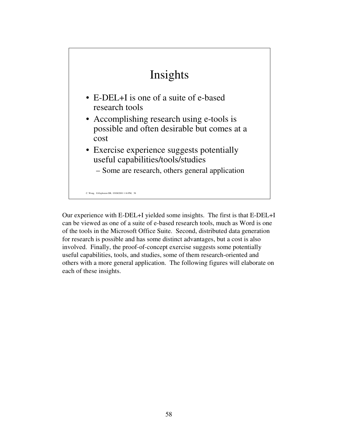![](_page_62_Figure_0.jpeg)

Our experience with E-DEL+I yielded some insights. The first is that E-DEL+I can be viewed as one of a suite of e-based research tools, much as Word is one of the tools in the Microsoft Office Suite. Second, distributed data generation for research is possible and has some distinct advantages, but a cost is also involved. Finally, the proof-of-concept exercise suggests some potentially useful capabilities, tools, and studies, some of them research-oriented and others with a more general application. The following figures will elaborate on each of these insights.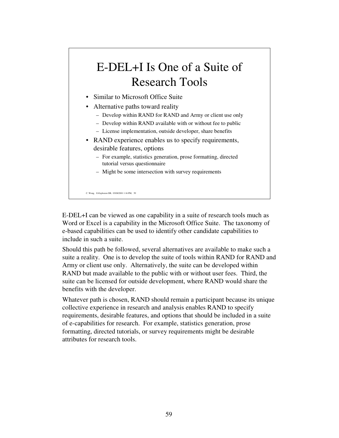# E-DEL+I Is One of a Suite of Research Tools

- Similar to Microsoft Office Suite
- Alternative paths toward reality
	- Develop within RAND for RAND and Army or client use only
	- Develop within RAND available with or without fee to public
	- License implementation, outside developer, share benefits
- RAND experience enables us to specify requirements, desirable features, options
	- For example, statistics generation, prose formatting, directed tutorial versus questionnaire
	- Might be some intersection with survey requirements

C. Wong, E-Explosion DB, 03/08/2001 1:16 PM, 59

E-DEL+I can be viewed as one capability in a suite of research tools much as Word or Excel is a capability in the Microsoft Office Suite. The taxonomy of e-based capabilities can be used to identify other candidate capabilities to include in such a suite.

Should this path be followed, several alternatives are available to make such a suite a reality. One is to develop the suite of tools within RAND for RAND and Army or client use only. Alternatively, the suite can be developed within RAND but made available to the public with or without user fees. Third, the suite can be licensed for outside development, where RAND would share the benefits with the developer.

Whatever path is chosen, RAND should remain a participant because its unique collective experience in research and analysis enables RAND to specify requirements, desirable features, and options that should be included in a suite of e-capabilities for research. For example, statistics generation, prose formatting, directed tutorials, or survey requirements might be desirable attributes for research tools.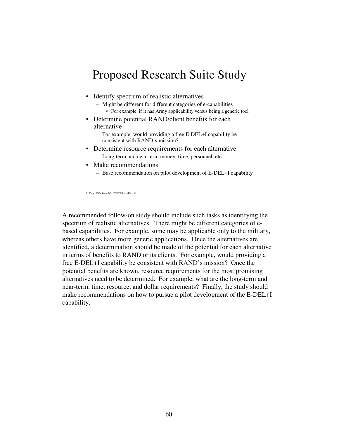### C. Wong, E-Explosion DB, 03/08/2001 1:16 PM, 60 Proposed Research Suite Study • Identify spectrum of realistic alternatives – Might be different for different categories of e-capabilities • For example, if it has Army applicability versus being a generic tool • Determine potential RAND/client benefits for each alternative – For example, would providing a free E-DEL+I capability be consistent with RAND's mission? • Determine resource requirements for each alternative – Long-term and near-term money, time, personnel, etc. • Make recommendations – Base recommendation on pilot development of E-DEL+I capability

A recommended follow-on study should include such tasks as identifying the spectrum of realistic alternatives. There might be different categories of ebased capabilities. For example, some may be applicable only to the military, whereas others have more generic applications. Once the alternatives are identified, a determination should be made of the potential for each alternative in terms of benefits to RAND or its clients. For example, would providing a free E-DEL+I capability be consistent with RAND's mission? Once the potential benefits are known, resource requirements for the most promising alternatives need to be determined. For example, what are the long-term and near-term, time, resource, and dollar requirements? Finally, the study should make recommendations on how to pursue a pilot development of the E-DEL+I capability.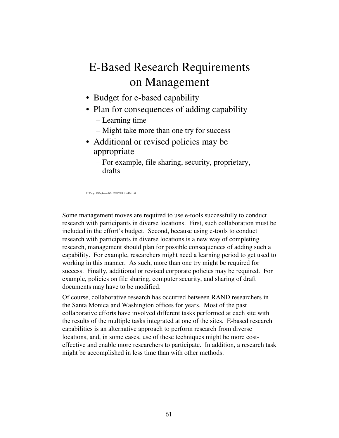## E-Based Research Requirements on Management

- Budget for e-based capability
- Plan for consequences of adding capability
	- Learning time
	- Might take more than one try for success
- Additional or revised policies may be appropriate

– For example, file sharing, security, proprietary, drafts

C. Wong, E-Explosion DB, 03/08/2001 1:16 PM, 61

Some management moves are required to use e-tools successfully to conduct research with participants in diverse locations. First, such collaboration must be included in the effort's budget. Second, because using e-tools to conduct research with participants in diverse locations is a new way of completing research, management should plan for possible consequences of adding such a capability. For example, researchers might need a learning period to get used to working in this manner. As such, more than one try might be required for success. Finally, additional or revised corporate policies may be required. For example, policies on file sharing, computer security, and sharing of draft documents may have to be modified.

Of course, collaborative research has occurred between RAND researchers in the Santa Monica and Washington offices for years. Most of the past collaborative efforts have involved different tasks performed at each site with the results of the multiple tasks integrated at one of the sites. E-based research capabilities is an alternative approach to perform research from diverse locations, and, in some cases, use of these techniques might be more costeffective and enable more researchers to participate. In addition, a research task might be accomplished in less time than with other methods.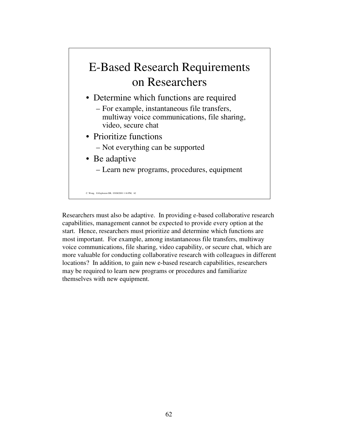# E-Based Research Requirements on Researchers

- Determine which functions are required
	- For example, instantaneous file transfers, multiway voice communications, file sharing, video, secure chat
- Prioritize functions
	- Not everything can be supported
- Be adaptive
	- Learn new programs, procedures, equipment

C. Wong, E-Explosion DB, 03/08/2001 1:16 PM, 62

Researchers must also be adaptive. In providing e-based collaborative research capabilities, management cannot be expected to provide every option at the start. Hence, researchers must prioritize and determine which functions are most important. For example, among instantaneous file transfers, multiway voice communications, file sharing, video capability, or secure chat, which are more valuable for conducting collaborative research with colleagues in different locations? In addition, to gain new e-based research capabilities, researchers may be required to learn new programs or procedures and familiarize themselves with new equipment.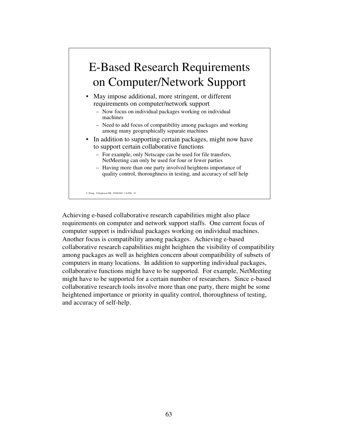# E-Based Research Requirements on Computer/Network Support

- May impose additional, more stringent, or different requirements on computer/network support
	- Now focus on individual packages working on individual machines
	- Need to add focus of compatibility among packages and working among many geographically separate machines
- In addition to supporting certain packages, might now have to support certain collaborative functions
	- For example, only Netscape can be used for file transfers, NetMeeting can only be used for four or fewer parties
	- Having more than one party involved heightens importance of quality control, thoroughness in testing, and accuracy of self help

C. Wong, E-Explosion DB, 03/08/2001 1:16 PM, 63

Achieving e-based collaborative research capabilities might also place requirements on computer and network support staffs. One current focus of computer support is individual packages working on individual machines. Another focus is compatibility among packages. Achieving e-based collaborative research capabilities might heighten the visibility of compatibility among packages as well as heighten concern about compatibility of subsets of computers in many locations. In addition to supporting individual packages, collaborative functions might have to be supported. For example, NetMeeting might have to be supported for a certain number of researchers. Since e-based collaborative research tools involve more than one party, there might be some heightened importance or priority in quality control, thoroughness of testing, and accuracy of self-help.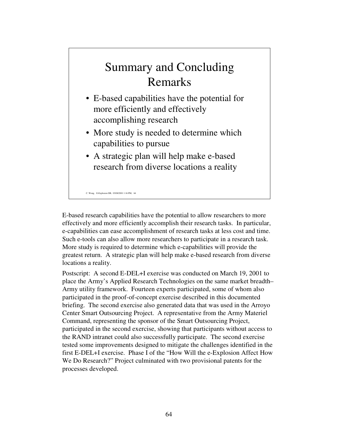### Summary and Concluding Remarks

- E-based capabilities have the potential for more efficiently and effectively accomplishing research
- More study is needed to determine which capabilities to pursue
- A strategic plan will help make e-based research from diverse locations a reality

C. Wong, E-Explosion DB, 03/08/2001 1:16 PM, 64

E-based research capabilities have the potential to allow researchers to more effectively and more efficiently accomplish their research tasks. In particular, e-capabilities can ease accomplishment of research tasks at less cost and time. Such e-tools can also allow more researchers to participate in a research task. More study is required to determine which e-capabilities will provide the greatest return. A strategic plan will help make e-based research from diverse locations a reality.

Postscript: A second E-DEL+I exercise was conducted on March 19, 2001 to place the Army's Applied Research Technologies on the same market breadth– Army utility framework. Fourteen experts participated, some of whom also participated in the proof-of-concept exercise described in this documented briefing. The second exercise also generated data that was used in the Arroyo Center Smart Outsourcing Project. A representative from the Army Materiel Command, representing the sponsor of the Smart Outsourcing Project, participated in the second exercise, showing that participants without access to the RAND intranet could also successfully participate. The second exercise tested some improvements designed to mitigate the challenges identified in the first E-DEL+I exercise. Phase I of the "How Will the e-Explosion Affect How We Do Research?" Project culminated with two provisional patents for the processes developed.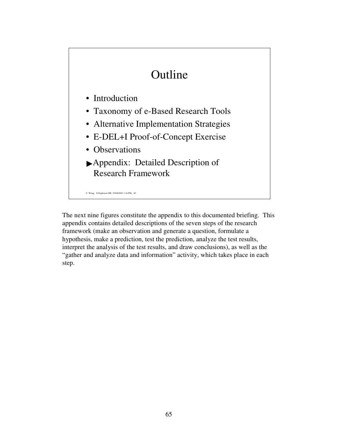## Outline

- Introduction
- Taxonomy of e-Based Research Tools
- Alternative Implementation Strategies
- E-DEL+I Proof-of-Concept Exercise
- Observations
- Appendix: Detailed Description of Research Framework

C. Wong, E-Explosion DB, 03/08/2001 1:16 PM, 65

The next nine figures constitute the appendix to this documented briefing. This appendix contains detailed descriptions of the seven steps of the research framework (make an observation and generate a question, formulate a hypothesis, make a prediction, test the prediction, analyze the test results, interpret the analysis of the test results, and draw conclusions), as well as the "gather and analyze data and information" activity, which takes place in each step.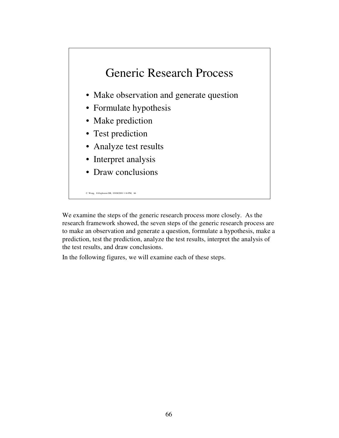![](_page_70_Figure_0.jpeg)

We examine the steps of the generic research process more closely. As the research framework showed, the seven steps of the generic research process are to make an observation and generate a question, formulate a hypothesis, make a prediction, test the prediction, analyze the test results, interpret the analysis of the test results, and draw conclusions.

In the following figures, we will examine each of these steps.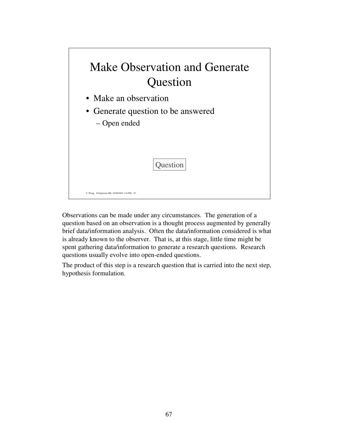| Make Observation and Generate<br>Question          |
|----------------------------------------------------|
| • Make an observation                              |
| • Generate question to be answered<br>- Open ended |
| Question                                           |

Observations can be made under any circumstances. The generation of a question based on an observation is a thought process augmented by generally brief data/information analysis. Often the data/information considered is what is already known to the observer. That is, at this stage, little time might be spent gathering data/information to generate a research questions. Research questions usually evolve into open-ended questions.

The product of this step is a research question that is carried into the next step, hypothesis formulation.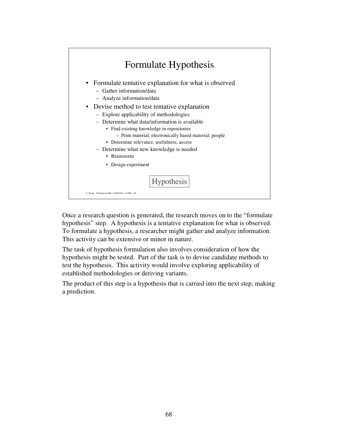

Once a research question is generated, the research moves on to the "formulate hypothesis" step. A hypothesis is a tentative explanation for what is observed. To formulate a hypothesis, a researcher might gather and analyze information. This activity can be extensive or minor in nature.

The task of hypothesis formulation also involves consideration of how the hypothesis might be tested. Part of the task is to devise candidate methods to test the hypothesis. This activity would involve exploring applicability of established methodologies or deriving variants.

The product of this step is a hypothesis that is carried into the next step, making a prediction.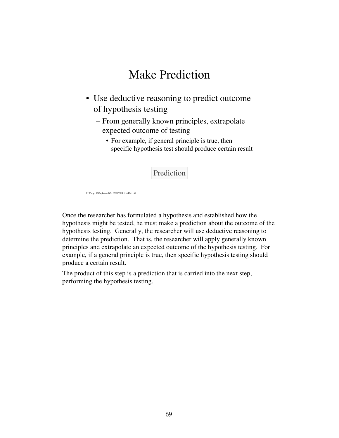

Once the researcher has formulated a hypothesis and established how the hypothesis might be tested, he must make a prediction about the outcome of the hypothesis testing. Generally, the researcher will use deductive reasoning to determine the prediction. That is, the researcher will apply generally known principles and extrapolate an expected outcome of the hypothesis testing. For example, if a general principle is true, then specific hypothesis testing should produce a certain result.

The product of this step is a prediction that is carried into the next step, performing the hypothesis testing.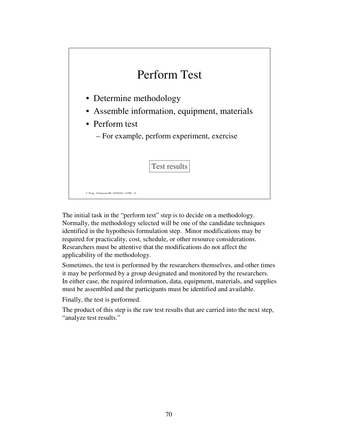| Perform Test                                                                                                                             |
|------------------------------------------------------------------------------------------------------------------------------------------|
| • Determine methodology<br>• Assemble information, equipment, materials<br>• Perform test<br>- For example, perform experiment, exercise |
| Test results<br>C. Wong, E-Explosion DB, 03/08/2001 1:16 PM, 70                                                                          |

The initial task in the "perform test" step is to decide on a methodology. Normally, the methodology selected will be one of the candidate techniques identified in the hypothesis formulation step. Minor modifications may be required for practicality, cost, schedule, or other resource considerations. Researchers must be attentive that the modifications do not affect the applicability of the methodology.

Sometimes, the test is performed by the researchers themselves, and other times it may be performed by a group designated and monitored by the researchers. In either case, the required information, data, equipment, materials, and supplies must be assembled and the participants must be identified and available.

Finally, the test is performed.

The product of this step is the raw test results that are carried into the next step, "analyze test results."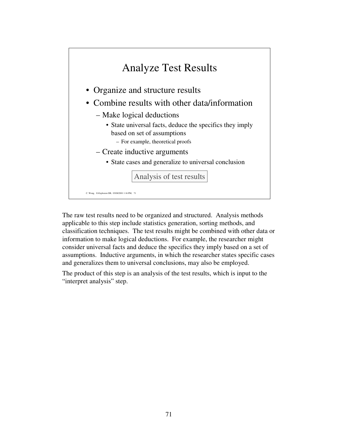

The raw test results need to be organized and structured. Analysis methods applicable to this step include statistics generation, sorting methods, and classification techniques. The test results might be combined with other data or information to make logical deductions. For example, the researcher might consider universal facts and deduce the specifics they imply based on a set of assumptions. Inductive arguments, in which the researcher states specific cases and generalizes them to universal conclusions, may also be employed.

The product of this step is an analysis of the test results, which is input to the "interpret analysis" step.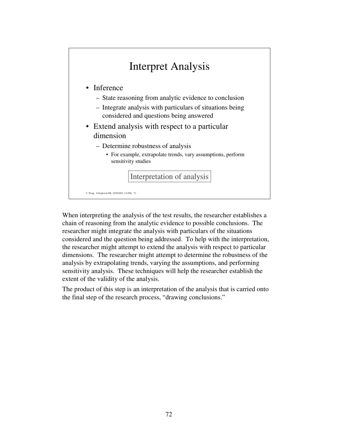

When interpreting the analysis of the test results, the researcher establishes a chain of reasoning from the analytic evidence to possible conclusions. The researcher might integrate the analysis with particulars of the situations considered and the question being addressed. To help with the interpretation, the researcher might attempt to extend the analysis with respect to particular dimensions. The researcher might attempt to determine the robustness of the analysis by extrapolating trends, varying the assumptions, and performing sensitivity analysis. These techniques will help the researcher establish the extent of the validity of the analysis.

The product of this step is an interpretation of the analysis that is carried onto the final step of the research process, "drawing conclusions."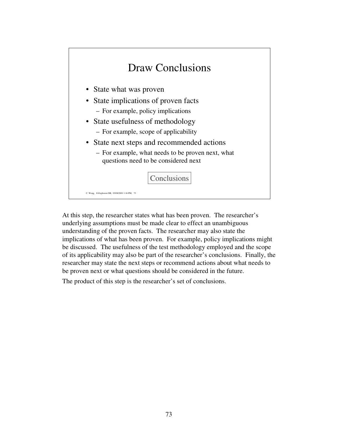

At this step, the researcher states what has been proven. The researcher's underlying assumptions must be made clear to effect an unambiguous understanding of the proven facts. The researcher may also state the implications of what has been proven. For example, policy implications might be discussed. The usefulness of the test methodology employed and the scope of its applicability may also be part of the researcher's conclusions. Finally, the researcher may state the next steps or recommend actions about what needs to be proven next or what questions should be considered in the future.

The product of this step is the researcher's set of conclusions.